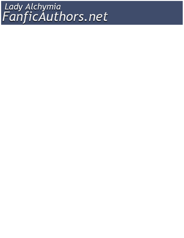# Lady Alchymia<br>FanficAuthors.net

- 
- 
- 
- 
- 
- -
	-
- - - -
			-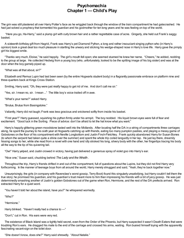## **Psychomachia Chapter 1 — Child's Play**

The grin was still plastered all over Harry Potter's face as he wriggled back through the window of the train compartment he had gatecrashed. He had just solved a prophecy that tormented his guardian and his godmother for ten long years and he was feeling on top of the world.

"Here you go, Ha-Harry," said a plump girl with curly brown hair and a rather regrettable case of acne. Gingerly, she held out Frank's saggy basket.

A sixteenth birthday gift from Hagrid, Frank was Harry's pet Diamond Python, a long and rather insouciant singing python who (in Harry's opinion) took a great deal too much pleasure in startling the unwary and sticking his wedge-shaped nose in Harry's love life. Harry gave the pimply girl his biggest smile.

"Thanks very much, Eloise," he said happily. The girl's mouth fell open; she seemed stunned he knew her name. "Cheers," he added, nodding to the group at large. He collected Hedwig from a young boy (who, unfortunately, looked to be the spitting image of his big sister) and was at the door when the boy gamely piped up.

"What was all that about, sir?"

Elizabeth and Remus Lupin had last been seen (by the entire Hogwarts student body) in a flagrantly passionate embrace on platform nine and three-quarters back at Kings Cross Station.

Smiling, Harry said, "Oh, they were just *really* happy to get rid of me. And don't call me sir."

"Yes, sir. Imean no, sir. Imean ..." The little boy's voice trailed off in awe.

"What's your name?" asked Harry.

"Brutus, Brutus from Basingstoke."

Valiantly, Harry did not laugh; Frank was less gracious and snickered softly from inside his basket.

"First year?" Harry guessed, squishing his python firmly under his armpit. The boy nodded. His liquid brown eyes were full of fear and excitement. "Good luck in the Sorting. Piece of advice: don't be afraid to let the hat know what you want."

Harry's happily glittering green moodstone lasted well into the Midlands. After locating half the DA in a string of compartments three carriages along, he spent the journey to his sixth year at Hogwarts catching up with friends, eating too many pumpkin pasties, and playing a messy game of Gobstones on the floor of his compartment with Neville Longbottom and Justin Finch-Fletchley. Frank quickly abandoned Harry for Susan Bones (to whom the serpent had taken quite a shine over the summer) and spent the whole trip coiled languidly in her lap. He just lay there, dreamily hissing songs to her, while she read from a novel with one hand and idly stroked his long, silvery body with the other, her fingertips tracing his body all the way to the tip of his quivering tail.

"Ow!" Harry yelped, and Justin crowed in victory, having just delivered a generous spray of violet goo into Harry's ear.

"Nice one," Susan said, chuckling behind *The Lady and the Wraith* .

Throughout the trip, Harry's friends drifted in and out of the compartment, full of questions about the Lupins, but they did not find Harry very forthcoming. In the manner of teenage boys from all around the world, Harry merely shrugged and said, "Yeah, they're back together now."

Unsurprisingly, the girls (in company with Ravenclaw's worst gossip, Terry Boot) found this singularly unsatisfying, but Harry couldn't tell them the true story; he promised his guardian, and his guardian's trust meant more to him than impressing his friends with a bit of juicy gossip. He was just determinedly smashing another of Justin's golden Gobstones out of the game when Ron, Hermione, and the rest of the DA prefects arrived. Ron extracted Harry for a quiet word.

"You haven't told her about the island, have you?" he whispered worriedly.

"Who?"

"Hermione."

Harry blinked. "Haven't really had a chance to —"

"Don't," cut in Ron. His ears were very red.

The existence of Black Island was a tightly held secret, even from the Order of the Phoenix, but Harry suspected it wasn't Death Eaters that were troubling Ron's ears. He dragged his mate to the end of the carriage and crossed his arms, waiting. Ron busied himself toying with the apparently fascinating vacant-sign on the toilet door.

"She doesn't know, does she?" Harry said shrewdly. "About Natalie."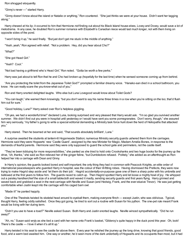Ron shrugged eloquently.

"Ginny's never —" started Harry.

"Ginny doesn't know about the island or Natalie or anything," Ron countered. "She just thinks we were at your house. Didn't want her tagging along."

Harry chewed at his lip; it occurred to him that Hermione *not* finding out about his Black Island house-elves, Lovey and Dovey, would save a lot of melodrama. In any case, he doubted Ron's summer romance with Elizabeth's Canadian niece would last much longer, not with them living on opposite sides of the pond.

"Iwon't bring it up," he said finally. "But just don't get me stuck in the middle of anything."

"Yeah, yeah," Ron agreed with relief. "Not a problem. Hey, did you hear about Cho?"

"What?"

"She got Head Girl."

"Yeah? Cool."

"Not bad having a girlfriend who's Head Girl," Ron noted. "Gotta be worth a few perks."

Harry was just about to tell Ron that he and Cho had broken up (hopefully for the last time) when he sensed someone coming up from behind.

"Are you protecting the toilet from the Japanese Toilet God?" prompted a familiar dreamy voice. "Hanako-san died in a school bathroom, you know. He can really scare the you-know-what out of you."

Ron and Harry snorted delighted laughs. Who else but Luna Lovegood would know about Toilet Gods?

"You can laugh," she warned them knowingly, "but you don't want to say his name three times in a row when you're sitting on the loo; that'd flush him out for sure."

"Good holiday, Luna?" Harry asked over Ron's helpless giggling.

"Oh yes, we had a wonderful time!" declared Luna, looking surprised and very pleased that Harry would ask. "I'm so glad you survived another summer. We didn't find out you were in hospital until yesterday or Iwould have sent you some pomegranates. Don't worry, though," she assured him very seriously, "my father's going to write a special editorial demanding a Ministry task force hunt down the herd of Heliopaths that attacked you."

Harry stared. Then he beamed at her and said, "That sounds absolutely *brilliant* , Luna."

A surprise awaited the students at lantern-lit Hogsmeade Station; numerous Ministry security guards ushered them from the carriages. Hermione said they were Hogwarts' new 'Castle Guard', assigned by the new Minister for Magic, Madam Amelia Bones, in response to the demands of fearful parents. Hermione said they were only supposed to guard the school gate and perimeters, not the castle itself.

"They've been lobbying for more responsibilities," she panted as she tried to hold onto Crookshanks and two huge books for the journey up the drive, "oh, thanks," she said as Ron relieved her of the ginger feline, "but Dumbledore refused. Politely," she added as an afterthought as Ron helped her into a carriage with Dean and Ginny.

In Harry's opinion, the guards looked bored and self-important; the only thing they had in common with Peacock Knights, an elite order of international peacekeepers who guarded Harry in hospital, was the colour of their ill-fitting robes. Having dismissed the Prefects, they were now trying to make Hagrid step aside and 'let them do their job'. Hagrid accidentally-on-purpose gave one of them a sharp poke with his umbrella and bellowed at the first years to follow him. The guards raced to catch up. Then Hagrid spotted Harry and let loose a mighty howl of joy. He whipped out a paisley handkerchief the size of a small tablecloth and waved it madly, sending security guards and first years flying. Harry grinned and waved back and grabbed a seat in the next carriage with Neville and Susan (and Hedwig, Frank, and the ever-elusive Trevor). He was just getting comfortable when Justin leapt into the carriage with his caged barn owl.

"Made it!" he panted happily.

One of the Thestrals twisted its skeletal head around to eyeball them, making everyone flinch — except Justin, who was oblivious. Typical, thought Harry, feeling oddly satisfied. Once they got going, he tried to sort out a routine with Susan for his python. The one-pet rule meant Frank would be living with her during term.

"Didn't you use to have a toad?" Neville asked Susan. Both Harry and Justin snorted laughs. Neville winced sympathetically. "Did he run away?"

"Ah, no," Susan said wryly as she tied a card with her name onto Frank's basket, "Gilderoy's quite happy in the duck pond this year. Oh, look! There's the castle — I love it when it's all lit up."

Harry twisted in his seat to see the castle far above them. Every year he relished the journey up the long drive, knowing that good friends, good food, and a warm bed awaited him. One way or another, he'd seen more of the dark underbelly of Hogwarts and its occupants than most, but it had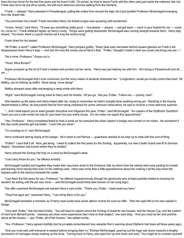been his true home for the last five years and he loved it still. On arrival, he tried to leave Frank with the other pets just inside the entrance hall, but Frank was not to be put off so easily, not with such delicious aromas wafting from the kitchens.

"Frank — please!" Harry pleaded in Parseltongue, pulling the snake from around his legs; he'd just spotted Professor McGonagall emerging from the Great Hall.

"You promised me a treat!" Frank reminded Harry; his forked tongue was quivering with excitement.

"I know, I know," said Harry. "I'll save you something really good — but please — please — just get back — back in your basket for me — come on, come on." Frank slithered higher up Harry's body. Things were getting desperate; McGonagall was coming straight towards them. Harry slyly hissed, "You know, there's a good chance we'll sing the school song."

Frank dived for his basket.

"Mr Potter, a word?" called Professor McGonagall. Harry jumped guiltily. Sharp blue eyes narrowed behind square glasses as Frank's tail disappeared down Harry's legs — and did not miss the snowy owl at Harry's feet. "Potter, I thought I made it clear you could only bring one pet —"

"He's mine, Professor," Susan cut in.

"Yours, Miss Bones?"

Susan scooped up the lid of Frank's basket and pointed out her name. "Harry was just helping me with him. Him being a Parselmouth and all ... um ..."

Professor McGonagall didn't look convinced, but the noisy melee of students distracted her. "Longbottom, would you kindly control that toad! Mr Malfoy, you're holding up traffic! Move along, move along!"

Malfoy slumped away after exchanging a nasty smile with Harry.

"Right," said McGonagall, turning back to Harry and his friends, "off you go. Not you, Potter. Follow me — quickly, now!"

She headed up the stairs and Harry trailed after her, trying to remember he hadn't actually done anything wrong yet. Standing in the Deputy Headmistress's office, he discovered that far from being chastised for some unknown indiscretion, he was to receive a most welcome surprise.

"... And I shall expect you to exert greater discipline and diligence this year, Potter," said McGonagall. "As captain of the Gryffindor Quidditch Team you are a role model not only for your team but your entire house. Do not make me regret this appointment."

"Yes, Professor." Harry completely failed to hide a smile as he caressed the silver captain's badge now pinned on his robes. He wondered if this day could possibly get any better. "Iwon't let you down."

"I'm counting on it," said McGonagall.

Harry continued staring dopily at his badge. He'd need to owl Remus — guardians needed to be kept up to date with this sort of thing.

"Potter? I said that's all. Now, get along. I need to collect the first years for the Sorting. Apparently, our new Castle Guard saw fit to dismiss Hagrid. Goodness only knows where they've landed."

Harry noticed the Sorting Hat limp on a stool by McGonagall's desk.

"I can carry those for you," he offered amiably.

McGonagall nodded and together they made their way back down to the Entrance Hall, by which time the elderly witch was panting for breath and leaning more heavily than ever on her walking cane. Harry was more than a little apprehensive about her making it all the way down the slippery path to the harbour beneath the castle.

"I can fetch the first years for you, Professor," he offered magnanimously (though his generosity was at least partially related to knowing he wouldn't be eating until the job was done — and McGonagall would likely take forever on her bung legs).

The offer surprised McGonagall and earned Harry a rare smile. "Thank you, Potter. I shall await you here."

"They'll be ages yet," reasoned Harry. "I can bring them in for you."

McGonagall hesitated a moment, as if Harry must surely have some ulterior motive for such an offer. Then her eyes fell on his new captain's badge.

"Very well, Potter," she decided briskly. "You will need to explain about the Sorting of students into houses, and the House Cup, and the system of merit and *demerit* points. I daresay you have more experience than most on that subject," she said dryly. "And you must be fair and positive about all the houses — yes, Potter, all of the houses," she added archly.

"Yes, Professor," Harry agreed dutifully (but he privately remembered how valuable Ron's warning about Slytherin had been all those years ago).

"And you must wait until everyone is seated before bringing them in," finished McGonagall, peering out the huge oak doors towards a lengthy procession of carriages slowly snaking up the drive. Turning back to Harry, she eyed him up and down and said, "You might do to smarten yourself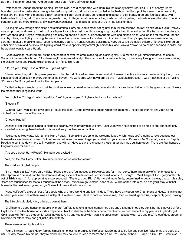up a bit. Straighten your hat. And do clean your ears. Right, off you go then."

Professor McGonagall took the Sorting Hat and stool and disappeared with them into the already noisy Great Hall. Full of energy, Harry bounded down the castle steps, along a twisted rocky path, and down a tunnel that led to the harbour. At the top of the cavern, he inhaled chill, moist air. Far below on the pebble-strewn landing, children were already being manhandled out of their boats, three and four at a time, by a flustered-looking Hagrid. There were no guards in sight. Hagrid must have set a Hogwarts record for getting the boats across the lake. The kids certainly seemed more excited and windswept than usual — and quite a number of them had lost their hats.

Picking his way through stalactites and stalagmites, Harry amused himself noting how familiar the children looked: an excitable 'Colin Creevey' was jumping up and down and asking lots of questions; a black-skinned boy was giving Hagrid a hard time and acting like he owned the place; a few 'Crabbes' and 'Goyles' were pushing and shoving people around; a 'Hannah Abbott' with long blonde plaits, who looked far too small for her shabby robes, was tightly clutching the neck of what Harry hoped was not a real rabbit. A smile twisted Harry's lips; there was even one boy scrambling after a croaking toad. Leaning casually against an ancient stone balustrade, Harry surveyed the noisy children. Torches flickered on either side of him and he knew the lighting would make a spooky play of firelight across his face. An evil 'mwah ha ha ha ha!' seemed in order, but he wouldn't want to scare Hagrid.

"Good evening!" he called out, but no one heard him over the croaks and squeals of laughter. Disinclined to yell himself hoarse, he cast a Sonorus Charm on his throat. "Good evening!" he repeated loudly. The charm sent his voice echoing impressively throughout the cavern, making the children jump and Hagrid clutch a great ham fist to his heart.

"Oh, it's yeh, Harry! Give a bloke a — yeh all righ'?"

"Never better, Hagrid." Harry was pleased to find he didn't need to raise his voice at all. It wasn't that his voice was now incredibly loud, more that it echoed effortlessly to every corner of the cavern. He wondered why they didn't do this in Quidditch practice; it was much easier than yelling. "Professor McGonagall sent me for the first years."

Excited whispers erupted amongst the children as word spread as to just who was standing above them chatting with the giant man as if it were the most normal thing in the world.

"Yeh righ' then?" Hagrid called hopefully. "Jus', I got a couple o' blighters ter fish outta the lake."

#### "Students?"

"Guards. Don' want ter be giv'n poor ol' squid injestion. Come down fer a cuppa when yeh get a mo'," he called over his shoulder, as he climbed back into one of the boats.

#### "Cheers, Hagrid."

Dozens of smiling faces turned to Harry expectantly, which greatly relieved him. Last year, when he last tried to be nice to first years, he only succeeded in scaring them to death; this was all very much more to his liking.

"Welcome to Hogwarts. My name is Harry Potter. I'll be taking you up to the welcome feast, which I know you're going to love because our house-elves are *fantastic* cooks. But before we get to eat, we need to get you sorted into your houses. Professor McGonagall, she's our Deputy Head, she sent me down here to fill you in on everything. Have to say she's usually a lot smarter than that, but here goes. There are four houses at Hogwarts, one for each —"

"Are you the *real* Harry Potter?" blurted a boy excitedly.

"Yes, I'm the *real* Harry Potter. No sane person would want two of me."

The children giggled happily.

"Bit of hush, thanks," Harry said mildly. "Right, there are four houses at Hogwarts, one for — no, sorry, there'll be plenty of time for questions later, I promise," he said, for the children were doing excellent imitations of Hermione in Potions. "... Sorry? ... Well, I expect if you got your thumb out of Trixie's ear ..." An appreciative croak sounded. "There you go. Right," Harry said more firmly, determined to get all the way through his spiel, "there are four houses for the four founders of the school. When we go upstairs, each of you will be sorted into a house and you'll stay with that house for the next seven years, so you'll want to know a little bit about them.

"Now, Hufflepuff's a great house for people who are hard working and fair minded. There have only been two Champions of Hogwarts in the last hundred years and one of them was a Hufflepuff. Excellent bloke. Hard to hate — believe me, I tried — smart, generous, despicably good looking."

The little girls giggled; Harry grinned down at them.

"Gryffindor's a good house for people who aren't afraid to take chances; sometimes they pay off, sometimes they don't, but life's never dull for a Gryffindor. Excellent house for sports and parties. Not too shabby in the brains department either — best student in my year is a Gryffindor girl. Gryffindors will fight to the death for what they believe in, and you really don't want to cross them. Just between you and me," he confided, dropping his voice for effect, "they can get just a little bit testy."

#### There were more giggles at this.

"Right, Slytherin ..." said Harry, forcing himself to honour his promise to Professor McGonagall to be fair and positive, "Slytherins are good at ... um ..." Harry racked his brains, "they're clever, but they do tend to keep to themselves a bit. You know, sit back — take it all in. Um ... what else ..."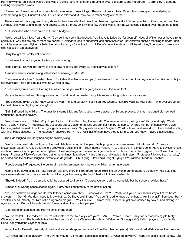Harry idly wondered if there was a polite way of saying 'scheming, back-stabbing thieves, plunderers, and murderers', "... erm, they're good at making complicated plans.

"Ravenclaw: Ravenclaw attracts people who love learning new things. They've got quick minds, Ravenclaws, very good at analysing and remembering things. Our new Head Girl is a Ravenclaw and, if Imay say, a rather *dishy* one at that."

There were yet more giggles. Harry shook his head ruefully. He knew it had been a huge mistake to hook up with Cho Chang again over the summer. Still, you live and learn. And getting to snog a pretty girl silly for a few weeks was hardly the worst thing that had ever happened to him.

"But Gryffindor's the best!" called out Brutus Midgen.

"Well, *I* certainly think so," said Harry. "Course, Imay be a little biased. You'll have to judge that for yourself. Now, all of the houses have strong points, but Iwouldn't say any of them are perfect. Gryffindors tend to shoot first, ask questions later. Ravenclaws analyse the thing to death, then shoot the messenger. Slytherins hide, then shoot when you're not looking. Hufflepuffs try not to shoot, but if they do, they'll be sure to make you a nice hot cup of tea afterwards."

Harry thought that pretty well covered it.

"I don't want to shoot anyone," fretted a curly-haired girl.

Harry stared. "Er, you don't have to shoot anyone if you don't want to. Right, any questions?"

A mass of hands shot up along with voices squealing, "Sir! Sir!"

"Easy — one at a time," pleaded Harry. "Excitable little things, aren't you," he observed dryly. He nodded to a boy who looked like he might just hyperventilate if he didn't get out what he wanted to say.

"Brutus said you can tell the Sorting Hat which house you want! I'm going to ask for Gryffindor, too!"

Many oohs sounded and Harry grew worried; that'd be all he needed: forty little rug-rats filling up his common room.

"You can certainly let the hat know what you want," he said carefully, "but it'll put you wherever it thinks you'll do your best — wherever you've got the best chance to play to your strengths."

"Sir! Sir!" cried the children. The questions came thick and fast, but none were about the Sorting process. A small, resigned sigh echoed around the limestone cavern.

"Yes, I have a scar. ... Why? Why do you think? ... Does the Killing Curse hurt? You mean apart from killing you?" Harry said dryly. "Yeah, it hurt. ... Who? Sorry, I'm not answering questions about Voldemort unless you can call him by his name." A large number of hands went down. Harry regarded the rest of the fluttering fingertips suspiciously. "Any questions about *Hogwarts* ?" All but one hand went down. He nodded to a boy with thick black glasses. "... The teachers?" checked Harry. "Ah. Well, half of them have tried to kill me, but, you know, maybe that's just me."

The kids laughed, but Harry had only been half-joking.

"We're due a new Defence Against the Dark Arts teacher again this year; I'm hoping for a vampire, myself. Mix it up a bit. Professor McGonagall takes Transfiguration; she's pretty strict, but she's fair. Then there's Potions — you take that in the dungeons. Have to say it's not too much fun unless you happen to be in Slytherin. Best way to get on the teacher's good side is to rubbish me, so be my guest. You'll like Charms, though; Professor Flitwick's cool. You get to make things float about." Harry grinned and wiggled his fingers. "Professor Flitwick, if you're lucky," he added and the children laughed. "What else do you do ... Oh! Flying! How could I forget Flying? Well wicked. Madam Hooch is -"

"People *really* fly?" squealed the bunny girl, earning sniggers from the other children at her ignorance.

Harry smiled down at the elfin-like little girl, standing there in threadbare robes, clutching an even more threadbare old bunny. Her pale blue eyes were wide with wonder and excitement; Harry got the feeling she hadn't had a lot of treats in her life.

"They do indeed! You're gonna love it!" he declared confidently. "Course, you do need a broomstick, but the school provides those."

A mass of quivering hands shot up again. Harry chuckled throatily at the next question.

"No, I do not have a Hungarian Horntail tattooed across my chest — who told you that? ... Yeah, well, your sister should stay out of the boys' showers. ... Sorry? You don't need to know that. ... Do I have a girlfriend? You don't need to know that either. ... Am I a what?" Bemused, Harry shook his head. "Sadly, no, I am not a dragon Animagus. ... Yes, I'm sure. ... Mmm, well, I expect Imight have noticed by now if I had blazing red eyes and a tail. Be cool, though. Wouldn't mind setting fire to a few people."

A familiar snort sounded and Harry's smile broadened.

"You on the left — the redhead. You're not related to the Weasleys, are you? ... Ah. ... Prewett. Cool." Harry nodded approvingly to Molly Weasley's nephew. The boy definitely had the look of a Charlie Weasley about him. "Welcome. Some great Quidditch players in your family. Hope I see you at the Gryffindor table."

Young Hector Prewett positively glowed (and earned deeply envious looks from the other first years). Harry nodded affably to another question.

"... Ah, that one's true, actually. I am a Parselmouth. ... It means I can chat to snakes. ... What do they say?" Harry shook his head ruefully. "*So,*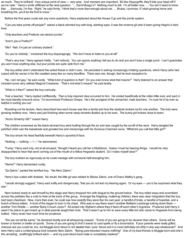*so* much. They're brilliant! Very unique point of view — very wise. And manners are important. Bit like Hippogriffs; they'll bite your head off if you're rude." Harry's smile stiffened at the next question. "... Saint Mungo's? Nothing much to tell. I'm all better now. ... You don't need to know that. ... Seriously, I'm fine. Right," he said firmly, "I think that's more than enough about me. ... Brutus, I promise, if I start growing horns and breathing fire, you'll be the first to know."

Before the first years could ask any more questions, Harry explained about the House Cup and the points system.

"Can *you* take points off people?" asked a black-skinned boy with long, slanting eyes; it was the smarmy git who'd been giving Hagrid a hard time.

"Only teachers and Prefects can deduct points."

"Aren't *you* a Prefect?"

"Me? Nah, I'm just an ordinary student."

"So you're *nobody* ," snickered the boy disparagingly. "We don't have to listen to you at all!"

"That's very true," Harry agreed mildly. "I *am* nobody. You can ignore anything I tell you to do and you won't lose a single point. I can't guarantee you won't lose anything else, but your points are quite safe from me."

The boy either didn't understand the veiled threat or didn't care. He persisted in asking increasingly irritating questions, which Harry (who had coped with far worse in his life) swatted away like so many blowflies. There was one, though, that he took exception to.

"No, I am not gay," he said coolly. "What kind of question is that? Do you even know what that means?" Harry listened to an answer that included some very unlikely Magical Creatures. "That's *not* what it means!" he said testily.

"What is it then?" asked the boy curiously.

"Ask a teacher," Harry replied indifferently. Then a truly inspired idea occurred to him. He smiled beatifically at the rotten little snot, and said in his most blandly innocent voice, "I'd recommend Professor Snape. He's the youngest of the unmarried, male teachers. I'm sure he'd be ever so helpful in sorting you out."

Rounding out his lecture, Harry described how each house was like a family and how the students looked out for one another. The kids were growing restless now. Harry was just finishing when some nasty remarks floated up to his ears. The bunny girl looked close to tears.

"*Accio Smarmy Git* !" roared Harry.

The children screamed as the black-skinned boy went hurtling through the air and was caught by the scruff of the neck. Harry dangled the petrified child over the balustrade and growled low and menacingly with his Sonorus-Charmed voice, "*What* did you call that little girl?"

The boy shook his head fearfully beneath Harry's spookily lit face.

"Nothing — nothing —  $I -$ " he stammered.

"Funny," Harry said icily, not at all amused, "thought I heard you call her a Mudblood. Guess Imust be hearing things. Iwould be *very* disappointed to hear that word coming out of the mouth of a fellow Hogwarts student. Do Imake myself clear?"

The boy nodded as vigorously as he could manage with someone half-strangling him.

"Name?" Harry demanded coolly.

"Za-Zabini," panted the terrified boy. "Ne-Nero Zabini."

Harry's lips curled with distaste. No doubt, the little git was related to Blaise Zabini, one of Draco Malfoy's gang.

"Iwould strongly suggest," Harry said softly and dangerously, "that you do not test my hearing again. Or my eyes — you'd be surprised what they see."

Nero looked ready to wet himself by this stage and Harry dropped him with disgust to the ground below. The boy rolled away and scrambled across the pebbles like a crab to hide at the back of the group. Amongst the fidgeting, muttering children, there was clear indignation that the boy had been chastised. Now, more than ever, he could see how *exactly* they were like his own year: a handful of brats, a handful of hopefuls, and a bunch of fence-sitters. A kind of fire began to burn in his chest. Who was to say there wasn't another Bellatrix Lestrange lurking down there another Tom Riddle — another Barty Crouch Junior? All sorted into Slytherin where they'd feed off each other's bigotries. Prudence told Harry it wasn't his place to get mixed up in what parents taught their kids. That it wasn't up to him to save every little kid who came to Hogwarts from being bullied. Harry never had much time for prudence.

"We are not all the same," he declared bluntly and all whispering ceased. "Some of you are going to be cleverer than others. Some will be braver or funnier or better at sports. Some of you are going to find it easier to cast spells or fly a broomstick. If your parents were really gifted, chances are you could be, too, but Muggle-born blood is not *weaker* than 'pure' blood and it is most definitely not *dirty* in *any* way whatsoever!" And here Harry cast a contemptuous look towards Nero Zabini. "Being pure-blooded means *nothing!* One of my best friends is Muggle-born and she's this *amazing* , *scathingly* brilliant witch — and my pure-blood best mate is completely clueless!"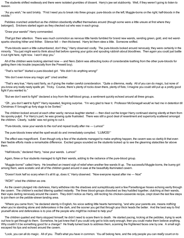The students shifted restlessly and there were isolated grumbles of dissent. Harry's jaw set stubbornly. Well, if they weren't going to listen to reason.

"As you wish," he said briskly. "First I need you to break into three groups: pure-bloods on the left; Muggle-borns on the right; half-bloods in the middle."

Pebbles crunched underfoot as the children obediently shuffled themselves around (though some were a little unsure at first where they belonged). Snickers started again as they checked out who was in each group.

"Draw your wands!" Harry commanded.

*That* got their attention. There was much commotion as nervous little hands fumbled for brand new wands, sending green, gold, and red wandsparks shooting hither and thither. Silence fell — then thickened. Harry let them stew a little. Someone sniffed.

"Pure-bloods seem a little outnumbered, don't they," Harry observed coolly. The pure-bloods looked around nervously; they were certainly in the minority. "You just might want to think about that before opening your gobs and spouting rubbish about bloodlines. Then again you could just battle it out right here, right now. Iwon't stop you."

All of the children were looking alarmed now — and Nero Zabini was attracting looks of considerable loathing from the other pure-bloods for getting them into trouble (especially from the Prewett boy).

"That's not fair!" blurted a pure-blooded girl. "We didn't do anything wrong!"

"We don't even know any magic yet!" cried another.

"That's very true," Harry said fairly, as if giving the matter careful consideration. "Quite a dilemma, really. All of you can do magic, but none of you know any really nasty spells yet. Tricky. Course, there's plenty of rocks down there, plenty of fists; I imagine you could still put up a pretty good fight if you wanted to."

"But we don't want to fight!" declared a boy from the half-blood group, a sentiment quickly echoed around all three groups.

"*Oh* , you don't *want* to fight?" Harry repeated, feigning surprise. "I'm very glad to hear it. Professor McGonagall would've had me in detention till Christmas if I brought up forty slugs to be Sorted."

The children looked around at each other warily; nervous laughter started — then died out the longer Harry continued staring silently at them from his spooky pulpit. For Harry's part, he was growing quite frustrated. There was still a good deal of resentment and superiority scattered amongst the children. Clearly, 'subtle' was not going to cut it.

"Pure-bloods, raise your wands to the roof and repeat loudly after me — Lumos!"

The pure-bloods knew what the spell would do and immediately complied. "*LUMOS!* "

The effect was magnificent. Even though only a few of the students managed to make anything happen, the cavern was so darkly lit that even their feeble efforts made a remarkable difference. Excited gasps sounded as the students looked up to see the gleaming stalactites far above them.

"Half-bloods," declared Harry, "raise your wands. Lumos!"

Again, three or four students managed to light their wands, adding to the radiance of the pure-blood group.

"Muggle-borns!" called Harry. He breathed an inward sigh of relief when another few wands lit up. The successful Muggle-borns, the bunny girl among them, were ecstatic and all of the children gazed around in awe at the beautifully illuminated cavern.

"Doesn't look half so scary when it's all lit up, does it," Harry observed. "Now everyone repeat after me — Nox!"

"*NOX!* " cried the children as one.

As the cavern plunged into darkness, Harry withdrew into the shadows and surreptitiously sent a few Parseltongue hisses echoing eerily through the cavern. The children's excited tittering quelled instantly. The three blood-groups dissolved as they huddled together, clutching at their wands, their eyes darting nervously around the cavern. They didn't notice as Harry, still reciting his chicken-casserole recipe, crept down the last few steps to join them on the pebble-strewn landing area.

"Where you came from," he declared sternly in English, his voice setting little hearts hammering, "and who your parents are, means *nothing* when you're standing alone and defenceless in the dark, and the sooner you get that through your thick heads the better. And the best way to find yourself alone and defenceless is to piss off the people who *might* be inclined to help you!"

The children quailed and Harry stopped himself; he didn't need to scare them to death. He started pacing, kicking at the pebbles, trying to work out how to get through to them. Somehow, he just knew that if you could only get to kids early enough, then you could make them believe anything. Why couldn't it be something good for a change? He finally turned back to address them, scanning the frightened faces one by one. A small sigh escaped his lips and echoed around the cavern.

"Look, you can all do magic. All of you. *That's* what you have in common. You *all* belong here, and the only people you can *really* count on to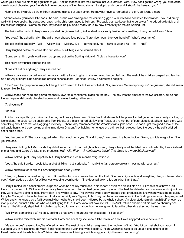watch your back are standing right next to you. Not the teachers, not the Prefects, not your families, *you* . Now don't get me wrong, you *should* be careful about choosing your friends but *never* because of their blood status. It's stupid and cruel and it *should* be beneath you."

Harry smiled inwardly as the children sneaked glances at each other. He may not have converted all of them, but it was a start.

"Wands away, you rotten little sods," he said, but he was smiling and the children giggled with relief and pocketed their wands. "You did pretty well with those spells," he conceded, causing the children's faces to light up. "Probably best we keep that to ourselves," he added delicately and the children laughed. "Come on, then, they should be just about ready for us by now; time to try on the old Sorting Hat."

The hair on the back of Harry's neck prickled. A girl was hiding in the shadows, clearly terrified of something. Harry hoped it wasn't him.

"You okay?" he asked kindly. The girl's heart-shaped face paled. "I promise Iwon't bite your head off. What's your name?"

The girl sniffed tragically. "Will — Willow Ma — Mallory. Do — do you really ha — have to wear a ha — ha — hat?"

Harry laughed before he could stop himself — of all things to be worried about.

"Sorry, sorry. Um, yeah, you'll each go up and put on the Sorting Hat, and it'll pick a house for you."

This news only further terrified the girl.

"It doesn't hurt or anything," Harry assured her.

Willow's dark eyes darted around nervously. With a trembling hand, she removed her pointed hat. The rest of the children gasped and laughed as a bounty of bright-blue hair spilled around her shoulders. Mortified, Willow's hair turned hot pink.

"Cool," said Harry appreciatively, but the girl didn't seem to think it was cool at all. "Er, are you a Metamorphmagus?" he guessed; she did seem to resemble Tonks.

Willow shook her head and glared resentfully towards a handsome, black-haired boy. The boy was the smaller of the two children, but he had the same pale, delicately chiselled face — and he was looking rather smug.

"And you are?"

"Marcus."

It did not escape Harry's notice that the boy could easily have been Sirius Black at eleven, but the pure-blooded gene pool was pretty shallow; by looks alone, he could just as easily be a Tom Riddle, or a black-haired Malfoy, or a Potter, or any number of pure-blood look-alikes. Still, there was something about him that was jogging a memory — then Harry remembered: the Weasley twins' joke shop. He hadn't got too good a look at the girl back then (she'd been crying and running down Diagon Alley holding her tongue at the time), but he recognised the boy by the self-satisfied smirk on his face.

"You her brother?" The boy shrugged, which Harry took for a yes. "Hand it over," he ordered in a bored voice. "*Now*, you little maggot, or I'll turn you into one."

Harry was bluffing, but Marcus Mallory didn't know that. Under the light of his wand, Harry silently read the label on a potion bottle; it was, indeed, one of Fred and George's joke-shop products: '*Hair-With-Flair — A rainbowin a bottle! Two drops to a more fabulous you!* '

Willow looked up at Harry hopefully, but Harry hadn't studied human transfiguration yet.

"Look," he said frankly, "I could take a shot at fixing it but, seriously, I'm really the *last* person you want messing with your hair."

Willow burst into tears, which Harry thought was deeply unfair.

"Hang on, there's no need to cry ... er ... I know this Auror who wears her hair like that. She does pig snouts and everything. No, no, Imean she's cool," Harry added quickly, for Willow was weeping even harder. "She does fall down a lot, but other than that ..."

Harry fumbled for a handkerchief, surprised when he actually found one in his robes; it even had his initials on it. Elizabeth must have put it there. He passed it to Willow and she noisily blew her nose. Her hair had gone green by now. She had the defeated air of someone who just knew they were always going to lose. Harry didn't know what to say. The way the twins booby-trapped their products, he knew there would be no quick fix by McGonagall in the antechamber. And she certainly wasn't going to let funny hair be an excuse to avoid the Sorting ceremony. Harry regarded Willow sadly; he knew they'd fix it eventually but not before she'd been ridiculed by the whole school. An older student might laugh it off, or even do it on purpose, but not a little kid who was just trying to fit in. Harry knew just how she felt. His Aunt Petunia sheared off his own hair horribly one time, and he'd barely slept that night in his cupboard for worrying about how he was going to face the other kids at school the next day.

"We'll work something out," he said, putting a protective arm around her shoulders. "It'll be okay."

Willow snuffled miserably into his stomach; Harry had a feeling she knew a little too much about Weasley products to believe him.

"Maybe no one'll even notice," he offered lamely. The rest of the children sniggered their opinion of that. "You lot can just shut your traps! I suppose you think it's funny, do you? Singling someone out on their very first day? Right when they have to go up all alone in front of the Headmaster and the whole school? Nice. And here's me thinking you little maggots might be worth something."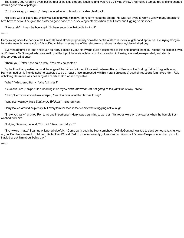The Mallory boy rolled his eyes, but the rest of the kids stopped laughing and watched guiltily as Willow's hair turned tomato red and she snorted down a good deal of phlegm.

"Er, that's okay, you keep it," Harry muttered when offered his handkerchief back.

His voice was still echoing, which was just annoying him now, so he terminated the charm. He was just trying to work out how many detentions he'd have to serve if he gave the brother a good case of pus-spewing tentacles when he felt someone tugging on his robes.

"Please, sir?" It was the bunny girl. "Is there enough in that bottle for two?"

\*\*\*\*\*\*

Harry swung open the doors to the Great Hall and strode purposefully down the centre aisle to raucous laughter and applause. Scurrying along in his wake were thirty-nine colourfully coiffed children in every hue of the rainbow — and one handsome, black-haired boy.

Every head turned to look and laugh as Harry passed by, but Harry was quite accustomed to this and ignored them all. Instead, he fixed his eyes on Professor McGonagall, who was waiting at the top of the aisle with her scroll, succeeding in looking amused, exasperated, and sternly disapproving all at once.

"Thank you, Potter," she said archly. "You may be seated."

By the time Harry walked around the edge of the hall and slipped into a seat between Ron and Seamus, the Sorting Hat had begun its song. Harry grinned at his friends (who he expected to be at least a little impressed with his vibrant entourage) but their reactions flummoxed him. Ruleupholding Hermione was beaming at him, whilst Ron looked ropeable.

"What?" whispered Harry. "What'd Imiss?"

"*Clueless* , am I," sniped Ron, nodding in an *if-you-don't-know-then-I'm-not-going-to-tell-you* kind of way. "Nice."

"Hush," Hermione chided in a whisper, "Iwant to hear what the Hat has to say."

"Whatever you say, Miss *Scathingly Brilliant,* " muttered Ron.

Harry looked around helplessly, but every familiar face in the vicinity was struggling not to laugh.

"Show *you* testy!" grunted Ron to no one in particular. Harry was beginning to wonder if his robes were on backwards when the horrible truth washed over him.

Nudging Seamus, he said, "You didn't hear me, did you?"

"Every word, mate," Seamus whispered gleefully. "Come up through the floor somehow. Old McGonagall wanted ta send someone ta shut you up, but Dumbledore wouldn't let her. Better than Wizard Radio. Course, we only got *your* voice. You should'a seen Snape's face when you told that kid ta ask him about being gay."

\*\*\*\*\*\*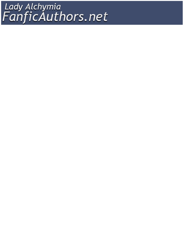# Lady Alchymia<br>FanficAuthors.net

- 
- 
- 
- 
- 
- -
	-
- - - -
			-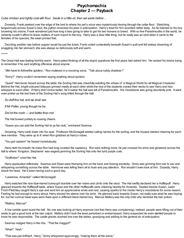## **Psychomachia Chapter 2 — Payback**

*Cube chicken and lightly coat with flour. Sauté in a little oil, then set aside before ...*

Drowsily, Frank peeked over the edge of the bed to where his pet's voice was mysteriously hissing through the cellar floor. Stretching languorously across Susan's bed, the python smacked his jaws in anticipation. Harry's treat for him sounded rather tasty. As he listened to his boy browning his onions, Frank wondered just how long it was going to take to get his two humans to breed. With so few Parselmouths in the world, he certainly couldn't afford to leave matters of such import to the boy. Harry was a dear little thing, but he really was an idiot when it came to the females of his species; the swan proved that.

Deciding another nap before supper would be just the ticket, Frank coiled contentedly beneath Susan's quilt and fell asleep dreaming of snuggling into her stomach; she was always so deliciously soft and warm.

\*\*\*\*\*\*

The Great Hall was feeling horribly warm. Harry paled thinking of all the stupid questions the first years had asked him. He racked his brains trying to remember if he said anything offensive about anyone.

"*We have to followthe spiders* ," Ron muttered in a mocking voice. "Talk about ruddy *clueless* !"

"Sorry?" Harry couldn't remember saying anything about spiders.

"Quiet!" Hermione hissed across the table; the Sorting Hat was cheerfully extolling the virtues of 'a Magical World for all Magical Creatures'. Behind the Hat, bright-coloured lollipops grinned madly at each other whilst the rest of the students craned their necks to see Harry and hiss whispers to each other. If Harry didn't know better, he'd swear the hall was full of Parselmouths. His moodstone was going decidedly pink. It went even pinker as the last lines of the Sorting Hat's song trilled through the hall:

*So doff this hat, and we shall see*

*If Mr Potter, young though he be*

*Did hit the mark — and better than me!*

The Hat bowed politely to rousing cheers.

"Guess you can add the Sorting Hat ta ya fan club," snickered Seamus.

Groaning, Harry sank lower into his seat. Professor McGonagall started calling names for the sorting, and the houses started cheering for each new member. They were up to K when Ron grabbed at Harry's robes.

"You got captain!" he hissed incredulously.

Harry held his breath; he knew Ron had long coveted the captaincy. Ron said nothing more; he just crossed his arms and glowered across the hall to where 'Kingston, Stephanie' was eagerly jamming the Sorting Hat onto her lurid purple curls.

"Gryffindor!" cried the Hat.

Harry applauded reflexively. Seamus and Dean were thumping him on the back and hissing excitedly. Ginny was grinning from ear to ear and whispering something across the table. Hermione was telling them all to hush and pay attention. Ron wouldn't even look at him. Dazedly, Harry shook his head. He'd been having such a good day.

"Lawrence, Amanda!" called McGonagall.

Harry watched the now blue-haired bunny-girl stumble over her robes and climb onto the stool. The Hat swiftly declared her a Hufflepuff. Harry glanced towards the Hufflepuff table, where Susan and the other Hufflepuffs were cheering heartily for Amanda. Seated beside Susan, Justin Finch-Fletchley caught Harry's eye and sent him an appreciative smile and nod, causing sparks to fire inside Harry's moodstone for some reason. Feeling he had enough to worry about, Harry shoved his sleeve over his wrist. He glanced back towards Susan, not really sure what he was hoping for, but her curious hazel eyes were fixed upon a different black-haired boy. Marcus Mallory was the only child who declined the hair potion.

"Mallory, Marcus!"

A low rumble sped round the hall. No one was looking at Harry anymore (not that Harry was complaining); instead, people were lifting out of their seats to get a good look at the hair culprit. Mallory didn't look the least perturbed or embarrassed; Harry suspected he even *wanted* people to know he was responsible. The castle ghosts zoomed low over the tables, gossiping and adding to the general air of anticipation.

Seamus nudged Harry in the ribs. "That the maggot?"

"What? Yeah."

"That was just *brilliant* , Harry," Ginny whispered approvingly, "making them all the same."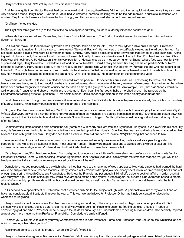Harry shook his head. "Wasn't my idea; they did it all on their own."

And this was quite true. Hector Prewett had come forward straight away, then Brutus Midgen, and the rest quickly followed once they saw how very pleased it made Harry Potter. Even Nero Zabini had volunteered, perhaps realising that to be the odd man out in such circumstances was unwise. Tiny Amanda Lawrence had been the first, though, and Harry was surprised she had not been sorted into —

"Gryffindor!" cried the Hat.

The Gryffindor table groaned (and the rest of the houses applauded wildly) as Marcus Mallory joined the scarlet and gold.

Willow Mallory was sorted into Ravenclaw, then it was Brutus Midgen's turn. The Sorting Hat deliberated for several long minutes before declaring, "Slytherin!"

Brutus didn't move. He looked dolefully towards the Gryffindor table on his far left — then to the Slytherin table on his far right. Professor McGonagall had to nudge him off the stool to make way for 'Newland, Patrick'. Harry's view of the staff table cleared as the lollipops thinned. As expected, Snape's black eyes were full of venom for him. Smugly, Harry smiled back, safe in the knowledge that Snape couldn't touch him. At the inquest into his accident, Snape was found innocent of treason but guilty of prejudice when it came to Harry Potter. Dumbledore promised if his behaviour did not improve by Halloween, then his very position at Hogwarts could be in jeopardy. Ignoring Snape, whose face was now tight with suppressed rage, Harry looked to Dumbledore's left and did a double-take. Could it really be her? Rousing cheers erupted as 'Zabini, Nero' became a Slytherin. Harry tugged eagerly at Ron's robes, but Ron ignored him, which just infuriated Harry. *He* was the one who had a right to be ticked off! Ron might have come down and — oh — let his best mate *know*that he was making a prat of himself in front of the whole school. And now Ron was sulking because he'd missed the captaincy? What did he expect? He'd only been on the team for one year!

"Welcome, welcome!" Professor Dumbledore declared from his podium. He opened his arms wide, as if embracing the whole hall. "To old hands, welcome back, and to the colourful new heads I see before me, allow me to extend the very warmest of welcomes! I cannot remember when I have seen such a magnificent example of unity and friendship amongst a group of new students. An example, I feel, that *older* heads would do well to emulate." Laughter and cheers met this pronouncement. Each beaming first years' hairdo morphed through the rainbow as the Headmaster's twinkling eyes fell upon them. "Five points a piece, I think, for each participant in this lavish display of camaraderie!"

Loud cheers erupted, though the cheers were a little more subdued on the Gryffindor table since they were now already five points short courtesy of Marcus Mallory. An unhappy grunt sounded from the far end of the high table.

"Ah, yes," Dumbledore continued blithely, "Mr Filch has been so good as to remind me that all products from a shop by the name of *Weasleys' Wizard Wheezes* , as well as a number of other provisioners of magical mayhem, are banned from school grounds." Dumbledore looked down his crooked nose to the Gryffindor table and added serenely, "Iwould be much obliged if Mr Harry Potter would be so good as to report to my office after the feast."

Commiserating titters sounded from around the hall (combined with hearty snickers from the Slytherins). Harry sank even lower into his seat. By now, his feet were stretched so far under the table they were tangled up with Hermione's. She tilted her head sympathetically and managed to give his feet a kind of hug with her own. Harry decided that his letter to Remus didn't need to include *every* little thing that happened to him.

In more subdued tones the Headmaster went on to announce increased security measures at Hogwarts as well as a plea for greater cooperation and vigilance by students in these 'most uncertain times'. There were mixed reactions to Dumbledore's words of caution. The summer had come and gone and Voldemort and his Dark Order had yet to make their presence felt.

"On a happier note," Dumbledore declared, "I am delighted to announce the addition of two excellent new professors to the Hogwarts faculty! Professor Perenelle Flamel will be teaching Defence Against the Dark Arts this year, and I can say with the utmost confidence that you would be hard pressed to find a superior or more experienced practitioner of the Art."

Dumbledore nodded respectfully to the witch, who inclined her head to a smattering of weak applause. Hogwarts students had learned the hard way to be suspicious of new Defence teachers. Harry smirked at Hermione's dropped jaw; she clearly spent too much time reading books and not enough time sorting through Chocolate Frog photos. He knew the Flamels had put enough Elixir of Life aside to set their affairs in order, but that was four years ago. He kind of thought they would have dropped off the perch by now, but then again, six-hundred-plus years was bound to create a lot of affairs to tidy up. He wondered if her husband would be teaching as well. Nicolas Flamel was a world-class alchemist. Who better to replace Snape?

"Our second new appointment," Dumbledore continued cheerfully, "is for the subject of Light Arts. A personal favourite of my own but one we have had considerable difficulty staffing over the years. This year we are in luck, for Professor Oribel has kindly consented to relocate her workshop to Hogwarts."

Harry craned his neck to see where Dumbledore was smiling and nodding. The empty chair next to Hagrid was not empty after all. Dark skinned with slanting eyes, pointed ears, and a mane of wispy white-gold hair that shone under the floating candles, dressed in robes of shimmering gold and silver, Professor Oribel surveyed the students curiously, as if unaccustomed to seeing human children. She certainly inspired a great deal more muttering than Professor Flamel did. Dumbledore's smile stiffened.

"I entrust you will all strive to extend your very warmest welcomes to both Professor Flamel and Professor Oribel, or Oribel the Whimsical as she is known amongst her fellow goblins."

Ron snorted derisively under his breath. "'Oribel the *Orrible '*more like …"

Harry shot him a sharp glance; Ron was lucky*Hermione* didn't hear him say that! Harry wondered, yet again, what on earth had gotten into his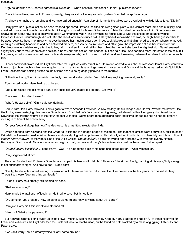best mate.

"Ugly as, goblins are," Seamus agreed in a low aside. "Who's she think she's foolin', tartin' up in dress robes?"

Ron snickered in agreement. Frowning sternly, Harry was about to say something when Dumbledore spoke up again.

"And now stomachs are rumbling and we have dallied enough." At a clap of his hands the tables were overflowing with delicious fare. "Dig in!"

Harry gave Ron up as a lost cause once the food appeared. Instead, he filled his own golden plate with succulent roast-lamb and mint jelly, and sneaked more looks towards the staff table. Although surprised Professor Oribel was a goblin, Harry had no problem with it. Didn't everyone always go on about how exceptionally fine goblin-workmanship was? The only thing he found curious was that she seemed rather young. Professor Flamel, unsurprisingly, did not. But she didn't look six-centuries old. If Harry hadn't known who she was, he might have guessed her to be about seventy, though her misty white eyes betrayed her much greater age. In peacock-blue robes that glimmered sea-green when she moved, wearing a matching headdress and pearl-studded diadem, her serene countenance and attire gave the impression of a rather refined old nun. Dumbledore was certainly very attentive to her, talking and smiling and refilling her goblet the moment she took the slightest sip. Flamel seemed slightly oblivious to the Headmaster's solicitous behaviour; she smiled, she nodded, but she said little. She seemed more interested in the colourful first years, who (for some reason known only to eleven-year-olds) couldn't seem to sit still and kept sneaking between the tables to whisper to each other.

Dinner conversation around the Gryffindor table that night was rather fractured: Hermione wanted to talk about Professor Flamel; Harry wanted to figure out just how much trouble he was going to be in thanks to his ramblings beneath the castle; and Ginny and the boys wanted to talk Quidditch. From Ron there was nothing but the sound of lamb shanks being angrily gnawed to the marrow.

"It'll be fine, Harry," Hermione said consolingly over her strawberry trifle. "You didn't say anything untoward, really."

Ron snorted loudly. Harry had had quite enough.

"Look," he hissed into his mate's ear, "I can't help it if McGonagall picked me. Get over it!"

Ron stared. "And *I'm* clueless."

"What's Hector doing?" Ginny said wonderingly.

Fed up with Ron, Harry followed Ginny's gaze to where Amanda Lawrence, Willow Mallory, Brutus Midgen, and Hector Prewett, the newest little Gryffindor, were besieging Headmaster Dumbledore. Dumbledore's face gave nothing away; he listened politely then gently dismissed them. Downcast, the children returned to their four respective tables. Dumbledore rose again and declared it time for bed but not, he hoped, before a rousing rendition of the school song.

"On your feet and altogether now!" he declared, his arms lifting reluctant behinds.

Lyrics ribboned from his wand and the Great Hall exploded in a hodge-podge of melodies. The teachers' smiles were firmly fixed, but Professor Oribel did not seem inclined to feign pleasure and quickly plugged her pointy ears. Harry lustily joined in with his own cheerfully horrible rendition of *Hoggy Warty Hogwarts* to the woeful tune of the Dixie Chicks' *Goodbye Earl* , a song Harry had been tortured with over and over by Natalie Ramsay on Black Island. Natalie was a very nice girl and all, but hers and Harry's tastes in music could not have been further apart.

"*Dead flies and bits of fluff* ..." sang Harry. "*Ow*!" He rubbed the back of his head and glared at Ron. "What was that for?"

Ron just glowered at him.

The song finished and Professor Dumbledore clapped his hands with delight. "Ah, music," he sighed fondly, dabbing at his eyes, "truly a magic to set our hearts to flight! And now to bed! Sleep tight!"

Noisily, the students started leaving. Ron waited until Hermione dashed off to beat the other prefects to the first years then hissed at Harry, "Thought you weren't gonna bring up Natalie!"

"I didn't!" Harry said crossly, still rubbing his head.

"That was our song!"

Harry made the fatal error of laughing. He tried to cover but far too late.

"Oh, come on, you great git. How on earth could Hermione know anything about that song?"

Ron gave Harry his filthiest look and stormed off.

"Hang on! What's the password?"

But Ron was already being swept up in the crowd. Mentally cursing the crotchety Keeper, Harry grabbed the napkin full of treats he saved for Frank and slid across the Gryffindor then the Hufflepuff table to reach Susan, but he found his path blocked by a mass of giggling Hufflepuffs and Ravenclaws.

"Iwouldn't worry," said a dreamy voice, "Ron'll come around."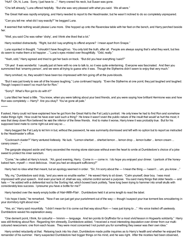"Huh? Oh, hi, Luna. Sorry, I just have to ..." Harry craned his neck, but Susan was gone.

"Cho left already," Luna offered helpfully. "But she was very pleased with what you said. We all were."

The Great Hall was rapidly emptying, and Harry needed to report to the Headmaster, but he wasn't inclined to do so completely unprepared.

"Can you tell me: what did I say exactly?" he begged Luna.

It seemed that nothing would please Luna more. She hopped up onto the Ravenclaw table with her feet on the bench, and Harry perched beside her.

"Well, you said Cho was rather 'dishy', and I think she liked that a lot."

Harry nodded distractedly. "Right, but did I say anything to offend anyone? Imean apart from Snape."

Luna squinted in thought. "I shouldn't have thought so. You only told the truth, after all. People are always saying that's what they want, but lies do seem to make them a lot happier ..." Luna's eyes misted over thoughtfully. "Odd, really."

"Yeah, odd," Harry agreed and tried to get her back on track. "But did you hear everything I said?"

"Oh yes! It was wonderful. I usually just sit here with no one to talk to, so it was quite entertaining. Everyone was fascinated. And then you summoned that 'smarmy person', and we were all trying to guess who it was. Though the Slytherins didn't seem to enjoy that very much."

Harry smirked; no, they wouldn't have been too impressed with him going off at the pure-bloods.

"But it was just lovely to see all of the houses laughing," Luna continued happily. "Even the Slytherins at one point; they just laughed and laughed. Though I expect it wasn't so much fun for Ron."

"Sorry? What's Ron got to do with it?"

Luna tilted her head a little. "You know, when you were talking about your best friends, and you were saying how brilliant Hermione was and how Ron was completely — Harry? Are you okay? You've gone all pale."

\*\*\*\*\*\*

If asked, Harry could not have explained how he got from the Great Hall to the Fat Lady's portrait. He only knew he had to find Ron and somehow make things right. How could he have ever said such a thing? He knew it wasn't even the public nature of the insult that would've hurt the most; it was that deep down Ron believed he *was* the inferior of the three friends. And to make it worse, Harry knew it was probably true. But for his supposed best mate to come right out and say so ...

Harry begged the Fat Lady to let him in but, without the password, he was summarily dismissed and left with no option but to report as instructed to the Headmaster's office.

"Cockroach cluster?" Harry ventured listlessly. No luck. "Lemon sherbet ... sherbet lemon ... lemon drop ... lemon butter ... lemon cream ... canary cream ..."

The gargoyle stepped aside and Harry ascended the moving stone staircase without even the heart to smile at Dumbledore's choice of a joke sweet to protect his inner sanctum.

"Come," he called at Harry's knock. "Ah, good evening, Harry. Come in — come in. I do hope you enjoyed your dinner. I partook of the honeybaked ham, myself — most delicious. I trust you had an eloquent sufficiency?"

Harry had no idea what that meant, but an apology seemed in order. "Sir, I'm sorry about the — I mean the thing — I wasn't ... um, you know ..."

"My, my," Dumbledore said dryly, "and you were so erudite earlier." He waved Harry to sit down. "Calm yourself, dear boy. Iwas most impressed with your speech. And even your lack of, shall we say, *volume* control served a purpose. You said many things that older heads — and hats —" he added with a deferential nod to the Sorting Hat, which bowed back politely, "have long been trying to hammer into small skulls with considerably less success. I presume you have a bottle for me?"

Harry handed over the nearly empty bottle of *Hair-With-Flair* . Dumbledore held it at arms length to read the label.

"I do hope it lasts," he remarked. "Now if we can just get your punishment out of the way — though I suspect your true torment lies smouldering in your dormitory right about now."

"Yes, sir," Harry said mournfully. "I didn't mean for it to come out that way about Ron — Iwas just trying to ..." His voice trailed off uselessly. Dumbledore waved his explanation away.

"One demerit point, I think, for colourful — hmmm — language. And ten points *to* Gryffindor for a most *vivid* lesson in Hogwarts solidarity." Harry was still thinking about Ron. Regarding him shrewdly, Dumbledore added, "Ireceived a most interesting deputation over dinner from our multicoloured newcomers: one from each house. They were most concerned I not punish you for something they swear was their own idea."

Harry smiled reluctantly at that. Relaxing back into his chair, Dumbledore made polite inquiries as to Harry's health and whether he enjoyed the remainder of his summer. Harry suspected Dumbledore had bigger things on his mind, and he was right. After the niceties had been observed,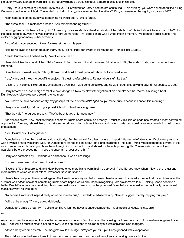the elderly wizard leaned forward, his hands loosely clasped across his desk, a more intense look in his eyes.

"Harry, there is something I should like to ask you." He waited for Harry's nod before continuing. "This evening, you were asked about the Killing Curse — about whether it hurt. You replied that it did. Harry, do you remember the attack? Do you remember the night your parents fell?"

Harry nodded dispiritedly; it was something he would dearly love to forget.

"The curse itself," Dumbledore pressed, "you remember being struck?"

Looking down at his hands, Harry didn't know why it was suddenly so hard to talk about the details. He'd talked about it before, hadn't he? Just the once, admittedly, when he was learning to fight Dementors. That terrible night was burned into his memory. Voldemort's cruel laughter; his mother begging for mercy — her screams.

A comforting coo sounded. It was Fawkes, stirring on his perch.

Raising his eyes to his Headmaster, Harry said, "It's not that I don't want to tell you about it, sir, it's just ... just ..."

"Hard," Dumbledore finished softly. "Another time then."

Harry didn't like the sound of that. "I don't mean to be ... Imean if it's all the same, I'd rather not. Sir," he added to show no disrespect was intended.

Dumbledore frowned deeply. "Harry, I know how difficult it must be to talk about, but you need to -"

"I do," Harry cut in, keen to get off the subject. "It's just I prefer talking to Remus about stuff like that."

A flash of annoyance flickered in Dumbledore's eyes, but it was gone as quickly and he was nodding sagely and saying, "Of course, you do."

Harry breathed an inward sigh of relief to have dodged a blow-by-blow interrogation of his parents' deaths. Without missing a beat, Dumbledore's blue eyes were twinkling once more.

"You know," he said conspiratorially, "my gossips tell me a certain *estranged* couple made quite a scene in London this morning."

Harry smiled ruefully; did nothing slip past Albus Dumbledore's long nose.

"That they did," he agreed proudly. "They're back together for good now."

"Marvellous news! Now, back to your punishment," Dumbledore continued breezily. "Imust say this little episode has created a most convenient opportunity. You see, I should like you to take some private tuition with me this year and the odd detention could prove most useful in masking our endeavours."

### "For Occlumency," Harry guessed.

Dumbledore inclined his head and said cryptically, "For that — and for other matters of import." Harry's relief at evading Occlumency lessons with Severus Snape was short-lived, for Dumbledore started talking about 'trials and challenges'. He said, "Mind Magic comprises several of the most dangerous and challenging branches of magic known to our kind and should not be enterprised lightly. You may wish to consult your guardians before proceeding — if you are uncertain of your strength …"

Harry was not fooled by Dumbledore's polite tone. It was a challenge.

"I do — Imean I am. I don't need to ask anyone."

"Excellent!" Dumbledore said, and Harry basked once more in the warmth of his approval. "I shall let you know when. Now, there is just one more matter to which we must attend: Professor Severus Snape."

Harry's heart stopped then started again. The Headmaster only wanted to remind him he agreed to spread a rumour that his accident over the summer was *not* an accident, something Dumbledore hoped would aid Snape in regaining Lord Voldemort's trust. Helping Snape become a better Death Eater was not something Harry, personally, was in favour of, but he promised Dumbledore he would try; he could only hope the old man knew what he was doing.

"To accuse Professor Snape directly would be too obvious," Dumbledore advised Harry. "Iwould suggest merely implying foul play."

"Will that be enough?" Harry asked dubiously.

Dumbledore smiled dreamily. "I believe so; I have learned never to underestimate the imaginations of Hogwarts students."

\*\*\*\*\*\*

An anxious Hermione awaited Harry in the common room. A look from Harry sent her sinking back into her chair. No one else was game to stop him — not until he found himself blocked halfway up the spiral steps to his room by a clutch of pyjama-clad maggots.

"Move!" Harry ordered sternly. The maggots wouldn't budge. "Why are you still up?" Harry groaned with exasperation.

The children launched into a torrent of questions and apologies, their mouse-like voices clamouring over each other.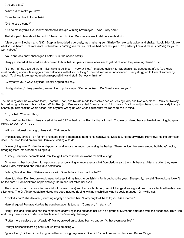"Are you okay?"

"What did he make you do?"

"Does he want us to fix our hair?"

"Did he use a cane?"

"Did he make you cut yourself?" breathed a little girl with big brown eyes. "Was it very bad?"

That stopped Harry dead; he couldn't have them thinking Dumbledore would deliberately hurt him.

"Listen, er — Stephanie, isn't it?" Stephanie nodded vigorously, making her green Shirley-Temple curls quiver and shake. "Look, I don't know what you've heard, but Professor Dumbledore is *nothing* like that evil troll we had here last year. I'm perfectly fine and there is *nothing* for you to worry about."

"You don't look fine!" challenged Hector. "Sir," he added hastily.

Harry just stared at the children; it occurred to him that first years were a lot easier to get rid of when they were frightened of him.

"It's nothing," he assured them. "I just have to do lines — *normal* lines," he added quickly, for Stephanie had gasped painfully, "you know — I must not dangle you little maggots over balconies — that sort of thing." The children were unconvinced. Harry struggled to think of something good. "And, you know, get lectured on responsibility and stuff. Seriously, I'm fine."

"Ginny says you always say that," Hector argued mulishly.

"Just go to bed," Harry pleaded, waving them up the steps. "Come on, *bed* ! Don't make me hex you."

\*\*\*\*\*\*

The morning after the welcome feast, Seamus, Dean, and Neville made themselves scarce, leaving Harry and Ron very alone. Ron's pet blowfly buzzed indignantly from his shoulder. Whilst Ron (and Bruce) accepted Frank's napkin full of treats (Frank would just have to understand), Harry's offer to go in front of the whole school and say how wrong he was wasn't quite what the redhead had in mind.

"So, is that it?" asked Harry.

"For now," replied Ron. Harry stared at the old SPEW badge that Ron had transfigured. Two words stared back at him in throbbing, hot-pink letters: *MORE CLUELESS* .

With a small, resigned sigh, Harry said, "Fair enough."

Ron helpfully pinned it on for him and stood back a moment to admire his handiwork. Satisfied, he regally waved Harry towards the dormitory door. The boys found an anxious Hermione waiting outside.

"Is everything — oh!" Hermione slapped a hand across her mouth on seeing the badge. Then she flung her arms around both boys' necks, dragging them into a head-clunking hug.

"Blimey, Hermione!" complained Ron, though Harry noticed Ron wasn't the first to let go.

On releasing her boys, Hermione pounced again, wanting to know exactly what Dumbledore said the night before. After checking they were alone, Harry explained about his fake detentions.

"Whoa," breathed Ron. "Private lessons with Dumbledore. How cool is that?"

Harry told them Dumbledore would need to keep finding things to punish him for throughout the year. Sheepishly, he said, "He reckons it won't be too hard." Ron snickered appreciatively; Hermione just rolled her eyes.

The common room that morning was full (of course it was) and Harry's throbbing, hot-pink badge drew a good deal more attention than his new silver one. The Gryffindor captain endured the good-natured ribbing with as much dignity as he could manage. Ginny did not.

"I think it's daft!" she declared, rounding angrily on her brother. "Harry only told the truth; you *are* a moron!"

Harry dragged Ron away before he could engage his tongue. "Come on; I'm starving."

Harry, Ron, and Hermione had the misfortune of arriving in the entrance hall just as a group of Slytherins emerged from the dungeons. Both Ron and Harry drew vocal and derisive taunts about the 'mentally challenged'.

"Potter more clueless than Weasley?" Malfoy crowed on spotting Harry's badge. "Is that even possible?"

Pansy Parkinson tittered gleefully at Malfoy's amazing wit.

"Ignore them," bit Hermione, trying to pull her scowling boys away. She didn't count on one purple-haired Brutus Midgen.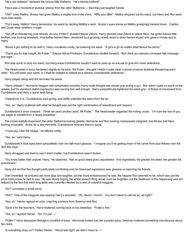"He's not clueless!" declared the furious little Slytherin. "He's bloody brilliant!"

There was a moment of stunned silence from the older Slytherins — then they just laughed harder.

"OW!" cried Malfoy. Brutus had given Malfoy a mighty kick in the shins. "*Why you little!* " Malfoy whipped out his wand, but Harry and Ron were more than ready.

"Put it away, Malfoy!" Harry demanded, his wand tip denting Malfoy's neck. Brutus's eyes shone as Malfoy grudgingly backed down. Crabbe and Goyle were nowhere in sight.

"Get off on threatening pure-bloods, do you, Potter?" drawled Blaise Zabini. Harry glanced past Zabini to where Nero, his green-haired little brother, was looking abashed. And further behind Nero, unnoticed by a growing crowd, stood a silver-haired wizard who gave a minute nod to Harry.

"Blood's got nothing to do with it," Harry countered coolly, not lowering his wand. "A git's a git no matter what flavour his blood."

"Thank you for that insight, Mr Potter." Silence fell as Professor Dumbledore strolled forward. "But I think you already conveyed that message last night."

Ron was quick to drop his wand, but Harry knew Dumbledore wouldn't want to pass up an excuse to give him more detentions.

The Headmaster's voice hardened slightly as he said, "Mr Potter, I thought Imade it quite clear I cannot condone students threatening each other. You will lower your wand, or I shall be obliged to extend your already considerable detentions."

Harry played along and did not lower his wand.

"Harry, *please* !" Hermione begged with remarkable sincerity (Harry really thought she should give acting a go). Ron wasn't quite so quick on the uptake, but his standard mulish expression was serving him well enough. Harry surreptitiously lightened his wand grip. A flicker of movement from Dumbledore and Harry's wand went flying.

"Detentions it is," Dumbledore said grimly, and deftly snatched the wand from the air.

"Yes, sir," Harry muttered with what he thought was just the right combination of resentment and respect.

Dumbledore's brow creased. "I think we need another word, Mr Potter." The Headmaster regarded the milling crowd. "I'm sure the rest of you are eager to benefit from a hearty breakfast."

The crowd dutifully dispersed, the older Slytherins looking gleeful, Hermione and Ron looking impressively indignant, and Brutus and Nero looking miserable. Alone for a few moments, Dumbledore returned Harry's wand.

"Imust say, I like the badge," he offered mildly.

"Yes, sir," said Harry.

Dumbledore's blue eyes were sympathetic over his half-moon glasses. "I imagine you'll be getting more of the same from your fellows over the next few days."

Harry shrugged and tried to say it didn't matter, but Dumbledore wasn't fooled.

"You know better than anyone, Harry," he observed, "that no good deed goes unpunished. And regrettably, the greater the deed, the greater the punishment."

Harry did not find this thought particularly comforting and his downcast expression was genuine on rejoining his friends.

Over breakfast, he endured yet more digs and laughter, but the more embarrassed he was, the happier Ron seemed to be, which was just the price Harry knew he had to pay. He was dearly hoping the whole speech thing would soon be forgotten, but the likelihood of this happening was not helped by the fact that each long table was currently infested by a nest of colourful maggots.

"Sir?" prompted a small voice.

"Huh?" One of the maggots was tapping Harry's shoulder. "Oh, Hector, mornin'. You don't need to call me sir, all right?"

"Yes, sir," Hector agreed at once, inspiring snickers from Seamus and Ron.

"Save it for the teachers," Harry muttered, turning back to his breakfast. "Potter's fine."

"Yes, sir," agreed Hector. "Sir, it's just —"

"*Potter* !" Harry despaired through a mouthful of toast. Hermione smiled into her pumpkin juice; Seamus muttered something mischievous about fan clubs.

"Is everything okay, sir?" fretted Hector. "About last night, we didn't mean to —"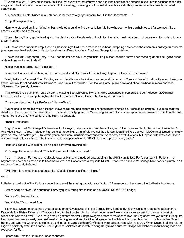"Everything's *fine* !" Harry cut in testily, thinking that everything *would* have been fine if he hadn't gotten himself mixed up with all those rotten little maggots in the first place. He jabbed a fork into his fried egg, causing yolk to squirt all over his toast. Harry swore under his breath; he hated soggy toast.

"Sir, honestly," Hector blurted in a rush, "we never meant to get you into trouble. Did the Headmaster —"

"Drop it!" snapped Harry.

Hermione stopped smiling. Wincing, Harry twisted around to find a crestfallen little boy who even with green hair looked far too much like a Weasley to stay mad at for long.

"Sorry, Hector," Harry apologised, giving the child a pat on the shoulder. "Look, it's fine, truly. I just got a bunch of detentions; it's nothing for you to worry about."

But Hector wasn't about to drop it, and as the morning's Owl Post screeched overhead, dropping books and chastisements on forgetful students (everyone near Neville ducked), Hector breathlessly offered to write to Fred and George for an antidote.

"Hector, it's *fine* ," repeated Harry. "The Headmaster actually likes your hair. It's just that I shouldn't have been messing about and I got a bunch of detentions — it's no big deal."

Hector was miserable. "But it's not fair …"

Bemused, Harry shook his head at the moppet and said, "Seriously, this is nothing. I spend half my life in detention."

"Well, that's true," agreed Ron. Twisting around, he idly waved a forkful of sausage at his cousin. "You can't leave him alone for one minute, you know. You would not *believe* what it takes to keep him out of trouble." Ron looked Harry up and down and shook his head in mock sadness. "Clueless. Completely clueless."

"A finely matched pair, then," said an archly knowing Scottish voice. Ron and Harry exchanged sheepish looks as Professor McGonagall towered over them, checking through a stack of timetables. "Potter, Potter," McGonagall murmured.

"Erm, sorry about last night, Professor," Harry offered.

"I've no one to blame but myself, Potter," McGonagall returned crisply, flicking through her timetables. "I should be grateful, I suppose, that you didn't feed the children to the Giant Squid — or send them flying into the Whomping Willow." There were appreciative snickers at this from the sixth years. "Here you are," she said, handing Harry his timetable.

#### "Thanks, Professor."

"Right," murmured McGonagall, "where was I ... Finnigan, here you are ... and Miss Granger ..." Hermione excitedly claimed her timetable. "... And Miss Brown. ... Yes, Professor Firenze is still teaching. ... I'm afraid I've not the slightest idea if he likes apples." McGonagall turned her steely gaze on Ron. "Weasley, yes ... I'm afraid your marks were insufficient for your ambition to carry on with Potions, but I spoke with Professor Snape at some length this morning and he has agreed to accept you into his NEWT class on a probationary basis."

Hermione gasped with delight. Ron's gasp conveyed anything but.

McGonagall frowned and said, "That is if you *do* still wish to proceed."

"I do — Imean ..." Ron looked helplessly towards Harry, who nodded encouragingly; he didn't want to lose Ron's company in Potions — or beyond; they both had ambitions to become Aurors, and Potions was a requisite NEWT. Ron turned back to McGonagall and nodded glumly. "Put me down," he said, defeated.

"OH!" Hermione cried in a sudden panic. "Double-Potions in fifteen minutes!"

\*\*\*\*\*\*

Loitering at the back of the Potions queue, Harry eyed the small group with satisfaction; DA members outnumbered the Slytherins two to one.

Before Snape arrived, Ron surprised Harry by quietly telling him to take off his *MORE CLUELESS* badge.

"You sure?" checked Harry.

### "You kidding?" countered Ron.

The minute Snape opened the dungeon door, three Ravenclaws: Michael Corner, Terry Boot, and AnthonyGoldstein, raced three Slytherins: Draco Malfoy, Blaise Zabini, and Theodore Nott, for the front bench. Harry had never *seen* Ravenclaws move so fast, but their rare burst of athleticism was to no avail. Even though they'd gotten there first, Snape relegated them to the second row. Having spent five years with Hufflepuffs, the Ravenclaws were clearly unaccustomed to coming second and took their displacement with less than good humour. Ernie Macmillan, Susan Bones, and Daphne Greengrass claimed the third bench, and the three Gryffindors were quite content with the fourth. When Snape took the roll, he lingered pointedly over Ron's name. The Slytherins snickered derisively, leaving Harry in no doubt that Snape had blabbed about having made an exception for Ron.

"Ignore him," intoned Hermione under her breath.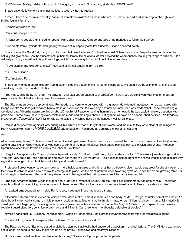"Sir?" drawled Malfoy, raising a lazy hand. "I thought you only took *Outstanding* students at NEWT level."

Snape gave Malfoy an oily smile, not the least put out by the interruption.

"Draco, Draco," he murmured sleekly, "we must all make *allowances* for those who are ..." Snape paused as if searching for the right word. Malfoy found it for him.

"Completely clueless, sir?"

Ron's quill snapped in two.

"At least *some* people didn't need to repeat!" Harry shot heatedly. Crabbe and Goyle had managed to fail all their OWLs.

"Five points from Gryffindor for denigrating the intellectual capacity of fellow students," Snape declared swiftly.

Score one for the Great Bat, Harry thought sourly. He knew Professor Dumbledore wouldn't think it wrong for Snape to take points when he actually *did* give cheek. As the students set up their cauldrons, their Potions Master prowled the workbenches, looking for things to criticise. Ron, naturally enough, was without his potions things, which Snape was quick to point out to the whole class.

"I'll owl Mum for my textbook and stuff," Ron said stiffly, still smarting from the roll.

"Sir ..." said Snape.

"*Sir,* " muttered Ron.

Snape summoned a spare textbook from a stack inside the bottom of the ingredients cupboard. He caught the book in one hand, checked something inside, then handed it to Ron.

"You may wish to belay that order," he drawled, "until after you've passed your *probation.* Surely, you wouldn't want your mother to buy an *expensive* textbook that you'll only need for a few — days."

The Slytherins snickered appreciatively. Ron reddened; Hermione quivered with indignation; Harry fumed impotently; he had wondered why Snape ever let McGonagall convince him to make an exception for Ron Weasley, and now he knew, for it was evident that Snape was having a wonderful day. When he wasn't droning on about Draughts of Peace, or setting them miles of homework, he was exploiting every opportunity to patronise Ron Weasley, savouring every mistake he made and making a show of noting them all down on a special chart he titled *The Weasley Improvement Testimonial* (T.W.I.T.), or twit, as he called it, which he hung on the dungeon wall for all to see.

Ron said not one word against Harry during all this, which just made Harry feel even worse, and the minute they were clear of the dungeons, Harry voluntarily pinned his *MORE CLUELESS* badge back on. Ron made an admirable show of not noticing.

\*\*\*\*\*\*

After the morning break, Professor Sprout hurried the sixth years into Greenhouse Five and sealed the door. The students did their best to avoid waking anything up; Greenhouse Five was home to some of the most vindictive, flesh-eating plants known to the Wizarding World. Professor Sprout beckoned them towards a man-sized, obelisk-like flower.

"Regulus Amorphophallus Titanum," she whispered proudly, "or 'little king with very big shapeless phallus'." There were juvenile sniggers at this. "Yes, yes, very amusing," she agreed, patting down her hands to quiet the group. "Our prince is asleep right now, and we want to keep him that way a good while longer. At six feet, he's still a baby and needs his rest."

Professor Sprout went on to explain (over yet more helpless giggles and snickers) that the flower's bloom would stay erect for about a week, and then it would collapse and a new one would emerge in its place. As the plant matured, each flowering cycle would see the bloom growing taller until its full height of twelve feet. Ron and Harry shared a look that agreed that calling twelve feet little hardly seemed fair.

"The *Rex* Amorphophallus Gigas is bigger again," advised Professor Sprout, "but the Regulus is considerably easier to handle. The flower attracts pollinators by emitting powerful waves of pheromones. The resulting odour of carrion is intoxicating to flies and carries for miles."

An excited buzz sounded from inside Ron's robes; it seemed Bruce had found a friend.

"Of course," Sprout said in a cheerful whisper, "that does make it smell like there's a dead body inside — though, naturally, sometimes there *is* a dead body inside. At this stage, our little prince is just learning to feed on small animals — rats, ferrets, Nifflers, and such — but at full maturity, it can digest much larger prey, including humans, which gives rise to its more common name, the *Corpse Flower* . The Corpse Flower makes an excellent guard plant, very sensitive to both noise and ill intent. Can anyone tell me about its defensive strategies?"

Neville's hand shot up. Excitedly, he whispered, "When it's under attack, the Corpse Flower paralyses its attacker with noxious gases."

"Excellent, Longbottom!" whispered the professor. "Five points to Gryffindor!"

The Ravenclaws and Slytherins stared in disbelief, stunned that Neville had answered a question — and got it right! The Gryffindors exchanged smug looks, pleased to see Neville get one up on the brainy Ravenclaws and smarmy Slytherins.

"And can anyone tell me how the plant attracts its prey?" Professor Sprout prompted hopefully.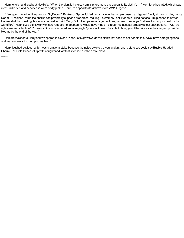Hermione's hand just beat Neville's. "When the plant is hungry, it emits pheromones to appeal to its victim's —" Hermione hesitated, which was most unlike her, and her cheeks were oddly pink, "— erm, to appeal to its victim's more *lustful* urges."

"Very good! Another five points to Gryffindor!" Professor Sprout folded her arms over her ample bosom and gazed fondly at the singular, pointy bloom. "The flesh inside the phallus has powerfully euphoric properties, making it extremely useful for pain-killing potions. I'm pleased to advise that we shall be donating this year's harvest to Saint Mungo's for their pain-management programme. I know you'll all want to do your best for the war effort." Harry eyed the flower with new respect; he doubted he would have made it through his hospital ordeal without such potions. "With the right care and attention," Professor Sprout whispered encouragingly, "you should each be able to bring your little princes to their largest possible blooms by the end of the year!"

Ron drew closer to Harry and whispered in his ear, "Yeah, let's grow two dozen plants that need to eat people to survive, have paralysing farts, and make you want to hump something."

Harry laughed out loud, which was a grave mistake because the noise awoke the young plant, and, before you could say Bubble-Headed Charm, The Little Prince let rip with a frightened fart that knocked out the entire class.

\*\*\*\*\*\*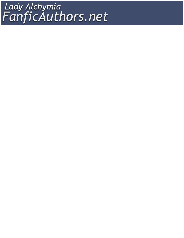# Lady Alchymia<br>FanficAuthors.net

- 
- 
- 
- 
- 
- -
	-
- - - -
			-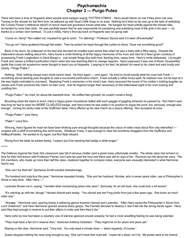## **Psychomachia Chapter 3 — Purgo Puteo**

There had been a time at Hogwarts when people wore badges saying 'POTTER STINKS'. Harry would blame no one if they wore one now. Turning on the shower for the third time, he lathered up with Goat's Milk Soap to no avail. Nothing he'd tried so far was up to the task of defeating the Corpse Flower's defensive stench of rancid meat and goodness knows what else. He banged his head pitifully against the shower tiles, tormented by more than stink. He was painfully aware that he was responsible for paralysing and putrefying most of the girls in his year — no thanks to a certain idiot redhead. To put it mildly, Harry's first day back at Hogwarts was not going well.

"Come on, Harry!" Ron called out, impatient to get to lunch. "I'm *starving* ! Professor Sprout said it'd wear off eventually!"

"You go on!" Harry sputtered through the water. Then he poked his head through the curtain to shout, "Save me something good!"

Back in his dorm, he collapsed on his bed and decided he smelled even worse than when he was a baby with a filthy nappy. Despite the malevolent odours wafting about him, Harry found a smile thinking of all the happy memories of his mum and dad he'd been given courtesy of possessing Frank Longbottom in Saint Mungo's. Just simple things like bath time, feeding time, nappy time. Harry's smile deepened. Lily taught Frank and James a brilliant purification charm when she was teaching them to change nappies. Harry supposed it was one of those 'housewifely' spells that crusty old academics never thought to teach you at Hogwarts. Leaping to his feet, he jabbed his wand to his chest and said loudly and clearly, "*Purgo Puteo* !"

Nothing. Well, nothing except even *more* rancid meat. He tried again — and again. He tried to recall exactly what his mum told Frank something about needing pure thoughts to cast a successful purification charm. It was actually a rather tricky spell, he realised now, but he kept at it (he was highly motivated to succeed). Replaying Frank's memories in his mind's eye, Harry savoured the sound of his mother's tinkling laughter as James and Frank practiced the charm on their sons. And he lingered longer than necessary on the bittersweet sight of his mum kissing and cuddling him.

"*Purgo Puteo* !" he cried, for about the twentieth time. He sniffed then grinned; he couldn't smell a thing!

Bounding down the stairs to lunch, Harry's happy green moodstone dulled with each gaggle of giggling airheads he passed by. Ron hadn't said how long he had to wear his *MORE CLUELESS* badge, and Harry knew he was really in no position to argue the point, but, seriously, enough was enough. Joining his stinky mate at the Gryffindor table, Harry offered up his new charm as a peace offering. Ron accepted at once.

"*Purgo Puteo* !" said Harry.

"*Pwah* !" cried Ron.

Wincing, Harry figured he must not have been thinking pure enough thoughts because the odour of rotten meat about Ron only intensified coupled with a whiff of something like burnt honey. Whatever it was, it was enough to clear the lunchtime stragglers from the Gryffindor and Hufflepuff tables. He wanted to try again, but Ron flatly refused.

Rising from the table he added darkly, "I expect you'll be needing that badge a while longer."

\*\*\*\*\*\*

The Defence Against the Dark Arts classroom was full of nervous chatter (and a great many unfortunate smells). The whole class had arrived on time for their first lesson with Professor Flamel, but it was ten past the hour and there was still no sign of her. Rumours ran rife about her story. The DA members, who made up more than half the class, clustered together to compare notes; everyone was unusually interested in what Hermione had to say.

"She can't be *that* old!" Zacharias Smith snorted disbelievingly.

"Six hundred and sixty-four this year," Hermione repeated briskly. "She and her husband, Nicolas, who is seven years older, use a Philosopher's Stone to stay alive. After Harry —"

Lavender Brown cut in, saying, "Iwonder what moisturising potion she uses? Seriously, for an old duck, she could look a *lot* worse!"

"It's catching up with her, though," Hannah Abbott said wisely. "You should see her Frog photo from just a few years ago. She looks *so* much older now."

"*Anyway,* " Hermione said, sparing barely a withering glance towards Hannah and Lavender. "After Harry saved the Philosopher's Stone from Lord Voldemort," and here Hermione ignored several sharp gasps, "the Flamels decided to destroy it, lest it fall into the wrong hands again. Harry said they kept enough in reserve to put their affairs in order and then they'd die."

Harry (who by now had taken a voluntary vow of silence) glanced around uneasily; he had a most unsettling feeling he was being watched.

"They must have a fair bit in reserve then," observed AnthonyGoldstein. "They might live on for years and years yet."

Musing on the idea, Hermione said, "Very true. You only need a minute dose — taken regularly, of course."

Susan stopped holding her nose long enough to say, "She can't have that much left. Imean he's dead, isn't he. My auntie went to his funeral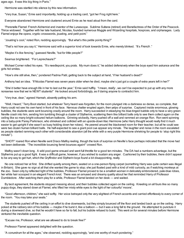ages ago. It was this big thing in Paris."

Hermione was startled into silence by this new information.

"Very true, Susan," Ernie said importantly, holding up a trading card, "got her Frog right here."

Everyone abandoned Hermione and clustered around Ernie as he read aloud from the card.

"Perenelle Flamel: French Alchemist and inventor of the Lunascope. Sublime Sultana (retired) and Benefactress of the Order of the Peacock. Thrice widowed. Together with her late husband, Nicolas, founded numerous Muggle and Wizarding hospitals, hospices, and orphanages. Lady Flamel enjoys the opera, cryptic crosswords, jousting, and petit point."

"Jousting's cool," noted Ron, nodding approvingly. "But what's this petite pointy thing?"

"That's not how you say it," Hermione said with a superior kind of look towards Ernie, who merely blinked. "It's *French* ."

"Maybe it's like fencing," guessed Neville, "but for little people?"

Seamus brightened. "For Leprechauns?"

Michael Corner rolled his eyes. "It's needlepoint, you prats. My mum does it," he added defensively when the boys eyed him askance and the girls hid smiles.

"How's she still alive, then," pondered Padma Patil, getting back to the subject at hand, "if her husband's dead?"

Anthony had an idea. "If Nicolas Flamel was seven years older when he died, maybe she's just got a couple of extra years left in her?"

"She'd better have enough life in her to last out the year," Ernie said huffily. "Imean, *really* , we can't be expected to put up with any more nonsense now that we're NEWT students!" He looked around forbiddingly, as if daring anyone to contradict him.

"Very true, dear," agreed Hannah, absently patting his arm.

"Well, I heard," Terry Boot started, but whatever Terry heard was forgotten, for the room plunged into a darkness so dense, so complete, that Harry could not see his own hand in front of his face. Nervous chatter erupted again, then yelps of surprise. Captured inside enormous, glowing bubbles, the students were sent bouncing crazily around the room. Harry succeeded in steadying his blue-tinged bubble only to have a very green Neville crash into him, sending him tumbling through a cluster of Slytherins, scattering them like billiard balls only to see them collect again on the ceiling like so many bright-coloured helium balloons. Grinning wickedly, Harry pushed off a wall and rammed an orange Ron. Ron went spinning into a baby-pink Pansy Parkinson, who shrieked and collided with an upside-down lilac Hermione (who Harry thought would really find it much easier to get upright if she wasn't so busy holding down her robes). He peered around the blackened room for their teacher, but all he could see were two dozen human billiard balls. He half-expected to see a giant pool cue appear any minute. The laughter and noise in the room escalated as people started ramming each other with considerable abandon (all the while with a very purple Hermione shrieking for people to 'stop right this minute!').

"SHOT!" roared Ron when Neville sent Draco Malfoy reeling, though the look of surprise on Neville's face perhaps indicated that the move had not been deliberate. "The incredible bouncing ferret bounces again!" crowed Ron.

Malfoy wasn't down long. A wild pool game ensued and went full throttle for a good ten minutes. The DA had a numbers advantage, but the Slytherins put up a good fight. It was a difficult game, however, if you wished to sustain any anger. Cushioned by their bubbles, there didn't appear to be any way to get hurt, which the Gryffindor and Slytherin boys found a bit disappointing, really.

No one noticed her at first. She drifted quietly among them, seated on a one-person flying carpet (something Harry was quite certain was illegal in Britain). She gave no sign at all that she wanted the game to stop; she just floated past with a kind of mild curiosity, as if watching monkeys at the zoo. Seen only by reflected light of the bubbles, Professor Flamel proved to be a smallish woman in delicately embroidered, pale-blue robes, her white hair scooped in an elegant French knot. There was an amused and dreamy quality about her that reminded Harry of Professor Dumbledore. After watching them play for a while, Professor Flamel landed on her desk — and waited.

By tacit agreement, the students stopped messing about, and their bubbles collected again on the ceiling. Kneeling on all fours like so many puppy dogs, they stared down at Flamel, who lifted her misty white eyes to the light of her colourful 'moons'.

"Good afternoon, children," she said softly. Her voice betrayed only the very slightest of French accents and carried effortlessly to every corner of the room. "You may take your seats."

The students pushed off the ceiling in an effort to dive downwards, but they simply bounced off the floor and landed back up on the ceiling. Harry poked at the rubbery skin of his bubble — maybe if he burst it, like a balloon — but it was a long fall to the ground. He attempted to puncture it during a downward dive, so that he wouldn't have so far to fall, but his bubble refused to burst. This went on for several minutes before Hermione ventured the inevitable question.

"Excuse me, Professor, what are we allowed to do to break free?"

Professor Flamel appeared delighted with the question.

"A conundrum for all the ages," she observed, nodding approvingly, "and one worthy of much pondering."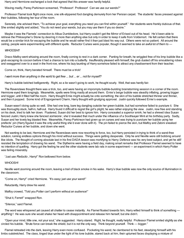Harry and Hermione exchanged a look that agreed that this answer was hardly helpful.

Waving madly, Pansy Parkinson screamed, "Professor! Professor! Can we use our wands?"

Professor Flamel took flight once more, one silk-slippered foot dangling demurely from her Persian carpet. The students' faces pressed against their bubbles, following her tour of the room.

Serenely, she advised them, "To achieve your goal, everything you need you can find within yourself." Her students were frankly dubious of that. She smiled slightly and added, "You do not need your wands, but you may use them if you so desire."

Maybe it was the Flamels' connection to Albus Dumbledore, but Harry couldn't get the Mirror of Erised out of his head. He'd been able to retrieve the Philosopher's Stone by desiring it more than anything else but only in order to keep it safe from Voldemort. He felt certain that there would be a similar trick for escaping the bubble and he would rather find it than just blast his way out. Others were not so patient. All around the ceiling, people were experimenting with different spells. Reductor Curses were popular, though it seemed to take an awful lot of them to —

#### *WHOOSH!!*

Draco Malfoy went whizzing around the room, finally coming to rest in a dark corner. Panting for breath, he wriggled free of his limp bubble like a grub escaping its cocoon before it had a chance to turn into a butterfly. Insufferably pleased with himself, the grub dusted off his smouldering robes and swaggered over to a seat in the front row, where his lazy taunting of Harry somehow failed to attract any chastisement from their teacher.

Come on, think, Harry berated himself. There must be a trick!

*I want more than anything in the world to get free ... but ... er ... not for myself?*

Harry's bubble belched belligerently. Right, so a lie wasn't going to work, he thought sourly. Well, that was hardly fair.

The Ravenclaws thought there was a trick, too, and were having an impromptu bubble-bursting brainstorming session in a corner of the room. Hermione eyed them longingly. Meanwhile, spells were firing madly all around them. Ernie's beige bubble was steadily inflating, growing bigger and bigger, until it filled half the room. Harry thought Ernie might actually be onto something; the skin of his bubble stretched thinner and thinner, and then it popped. Some kind of Engorgement Charm, Harry thought with grudging approval. Justin quickly followed Ernie's example.

Susan wasn't doing quite so well. She had one long, bare leg dangling outside her green bubble, but had somehow failed to puncture it. She was thoroughly stuck, half-in, half-out. Harry found it difficult to regret the girl's plight; he was rather enjoying the view. Justin, now free and standing on his desk, tried to talk her down. Flustered, Susan did her best to ignore him. Harry concealed a superior smirk; he had a shrewd idea Susan fancied Justin; Harry knew she fancied *someone* ; she'd revealed that much under the influence of a Soothsayer Mint at his birthday party. Sadly, Susan and her lovely leg blasted free. Meanwhile, Pansy Parkinson had given up on curses and was trying to puncture her bubble using her prefects' pin (Harry figured it was the only useful thing she'd ever done with it). The pin failed to pierce the skin, but Malfoy and Zabini sneaked Reductor Curses at her bubble, and down she went.

Not wanting to be last, Hermione and the Ravenclaws were now resorting to force, too, but Harry persisted in trying to think of a wand-free solution, running endless options through his mind without success. Things were getting desperate. Only he and Neville were still bobbing around like idiots. The thought of coming absolute last in his first DADA lesson was mortifying to Harry; Defence was his very best subject, and yet he *still* resisted the temptation of drawing his wand. The Slytherins were having a field day, making smart remarks that Professor Flamel seemed to have no intention of quelling. Harry got the feeling he and the other students were lab rats in some experiment — an experiment in which Harry Potter was failing miserably.

"Just use *Reducto* , Harry!" Ron bellowed from below.

#### WHOOSH!

Neville went zooming around the room, leaving a trail of black smoke in his wake. Harry's blue bubble was now the only source of illumination in the classroom.

"Come on, Harry!" cried Hermione. "It's easy; just use your wand!"

Reluctantly, Harry drew his wand.

Malfoy crowed, "Told you Potter can't perform without an audience!"

"Shut it, Ferret!" snapped Ron.

"Silence," said Flamel.

The word was whispered yet caused all chatter to cease instantly. As Flamel floated towards him, Harry willed himself to think of something *anything* ! He was sure she would shake her head with disappointment and release him herself, but she didn't.

"Open your mind, little one, not your soul," she suggested. Harry stared. Right, he thought, really helpful. Professor Flamel smiled slightly as she circled his bubble. "Brute force can break the shield, but it is not the only way. Think beyond yourself. Think — bigger."

Flamel retreated into the dark, leaving Harry even more confused. Pocketing his wand, he clambered to his feet, steadying himself with his limbs outstretched. The class, tinged blue under the light of his lone bubble, stared back at him, their upturned faces displaying a mixture of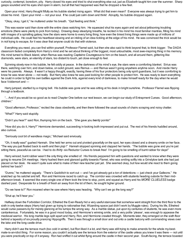curiosity, contempt, boredom, pity. Harry closed his eyes and tried to shut everything else out, just as Elizabeth taught him over the summer. Sharp gasps sounded and his eyes shot open in alarm, but all that had happened was that he dropped a few feet.

Open your mind, Harry thought fitfully as his bubble started rising again. What did that even mean? Everyone was always trying to get him to *close* his mind. Open your mind — not your soul. If he could just calm down and think! Abruptly, his bubble dropped again.

"Okay, okay, I get it," he muttered under his breath. "Quit feeling and think."

This was easier said than done with the entire class watching him. He squeezed shut his eyes again and set about jettisoning troubling emotions (there were plenty to pick from today). Drawing deep steadying breaths, he recited in his mind his most familiar mantras, filling his mind with images of a spiralling galaxy; how the stars were home to every living thing; how even the tiniest living things were made up of millions of individual cells. He could feel his heartbeat slowing and an inkling of an idea tickling at the edge of his mind. He was convinced the trick would be in *not* trying to escape, for it was clear that anyone could do that with violence.

Everything you need, you can find within yourself, Professor Flamel said, but then she also said to think beyond that, to think bigger. The DADA classroom faded completely from Harry's mind and he set about thinking of the biggest, most untouchable, most awe-inspiring thing in his memory. His mind turned to Black Island, when Remus was reading *Captains Courageous* to him on the beach, and all around them, glittering like diamonds, were stars, an eternity of stars, too distant to touch, yet close enough to feel.

Spinning slowly now in his bubble, he felt oddly at peace. In the darkness of his mind's eye, the stars were a comforting blanket. Sirius was there, watching over him; and down below, on solid ground, was Remus — and Remus wasn't going anywhere anytime soon. And inside Harry were his parents. Always. It wasn't a happy thought, exactly, having three of his four protectors being only spirit guardians, but it was comforting to know he was never alone — not really. But Harry also knew he was past looking for other people to protect him. He was ready to learn everything he could in order to fight his own battles against the Dark Arts, against every kind of darkness, to make himself ready for the day when he would face Voldemort and —

Harry jumped, startled by a ringing bell. His bubble was gone and he was sitting at his desk in bright sunshine. Professor Flamel was flipping through a textbook.

"... And if you would be so good as to read Chapter One before our next lesson, we can begin our study of Entrapment Curses. Good afternoon, children."

"Good afternoon, Professor," recited the class obediently, and then there followed the usual sounds of chairs scraping and noisy chatter.

"What?" Harry said stupidly.

"Didn't you hear?" said Ron, thumping him on the back. "She gave you *twenty* points!"

"How did you do it, Harry?" Hermione demanded, succeeding in looking both impressed and put out. The rest of his friends huddled around, also curious.

"Seriously cool bit of wandless magic," Michael said enviously.

"Oh, it really was!" gushed Hannah. She held her arms out and pivoted gracefully on the spot, her eyes closed and a dreamy smile on her face. "The way you just floated back to earth and then *pop* !" Hannah stopped spinning and clapped her hands. "The bubble was gone and you're just sitting there, peaceful as can be. I had to do *thirty* -six Reductor Curses to break free! I'm going to be smelling of burnt rubber for days!"

Harry winced; burnt rubber wasn't the only thing she smelled of. His friends peppered him with questions and wanted to know when they were going to resume DA meetings. Harry hushed them and glanced guiltily towards Flamel, who was smiling softly into a Grindylow tank she had just placed on her desk. He wasn't quite sure what to make of their new teacher just yet. She seemed okay, but how would she react to them going behind her back?

"Dunno," he muttered vaguely. "There's Quidditch to sort out — and I've got already got a ton of detentions — just check your Galleons." He snatched up his satchel and left. Ron and Hermione raced to catch up. The corridor was crowded with students heading outside for their midafternoon break. It seemed like every single one of them took the time to stop, point, and squeal as Harry and his *MORE CLUELESS* badge dashed past. Desperate for a breath of fresh air away from the lot of them, he sought higher ground.

"Do we have to?" Ron moaned when he saw where Harry was heading. "Why can't we go the long way?"

"Shut up; he'll hear you."

Halfway down the Forbidden Corridor, Ethelred the Ever-Ready hid a very useful staircase that somehow went straight from the third floor to the sixth in only twelve steps (Harry had given up trying to rationalise that, Wizarding space just didn't work by Muggle rules). During his life, Ethelred would curse passers-by for merely glancing at his turnips the wrong way. As a marble statue, put upon by centuries of students, he was even more cantankerous. Fortunately, he was in a good mood today, and Hermione's winning smile, and a very polite 'please', was enough to appease the medieval warrior. His long marble legs split apart and Harry, Ron, and Hermione crawled through. Moments later, they emerged on the sixth floor behind a tapestry of six proudly prancing Hippogriffs. Then it was through a small door and out onto a castle balcony with commanding views over the lake and the long castle drive.

Harry didn't use the terrace much (too cold in winter), but Ron liked it a lot, and Harry was still trying to make amends for the whole my-bestmate-is-an-idiot thing. For some reason, you couldn't actually see the terrace from the exterior of the castle unless you knew it was there — not until you were practically on top of it anyway. Ron had sniffed it out whilst flying around the castle in their second year. South-facing, the terrace boasted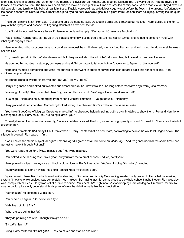a drinking fountain spouting cool water from the mouths of playful bronze nymphs, and a potted Katsura tree, the very tree that had betrayed the terrace's existence to Ron. The Katsura's heart-shaped leaves turned pink in autumn and smelled of fairy-floss. When ready to fall, they'd exhale a delicate sigh and turn into little balls of real fairy-floss. If quick, you could nab a delicious sugary treat before the floss hit the ground. Unfortunately, the bench beneath the Katsura was currently occupied by a pair of Ravenclaw girls, but a glare from Ron sent them scurrying, leaving the trio quite alone.

"I love being in the Sixth," Ron said. Collapsing onto the seat, he lazily crossed his arms and stretched out his legs. Harry dallied at the font to play with the nymphs and escape the lingering stench of his two best friends.

"I can't wait for our next Defence lesson!" Hermione declared happily. "Entrapment Curses are fascinating!"

"Fascinating," Ron agreed, staring up at the Katsura longingly, but the tree's leaves had not yet turned, and he had to content himself with inhaling its sugary aroma.

Hermione tried without success to hand around some muesli bars. Undeterred, she grabbed Harry's hand and pulled him down to sit between her and Ron.

"So, how did you do it, Harry?" she demanded, but Harry wasn't about to admit he'd done nothing but calm down and want to learn.

He adopted his most earnest puppy dog eyes and said, "I'd be happy to tell you, but don't you want to figure it out for yourself?"

Hermione mumbled something about the importance of teamwork in problem-solving then disappeared back into her school bag. Ron snickered appreciatively.

He leaned close to whisper in Harry's ear, "But you'll tell *me* , right?"

Harry just grinned and looked out over the sun-drenched lake; he knew it wouldn't be long before the warm days were just a memory.

"Wanna go for a fly?" Ron prompted cheerfully, reading Harry's mind. "We've got the whole afternoon off!"

"*You* might," Hermione said, emerging from her bag with her timetable. "I've got double-Arithmancy."

Harry glanced at her timetable. Something looked wrong. He checked Ron's and found the same mistake.

"You haven't got Care of Magical Creatures marked in," he observed helpfully, pulling out his own timetable to show them. Ron and Hermione exchanged a look. Harry said, "You are doing it, aren't you?"

"I'd really like to," Hermione said carefully, "but my timetable is so full, I had to give something up — I just couldn't ... well, I ..." Her voice trailed off uncomfortably.

Hermione's timetable *was* pretty full but Ron's wasn't. Harry just stared at his best mate, not wanting to believe he would let Hagrid down. The silence thickened. Ron caved in first.

"Look, I hated the stupid subject, all right? Imean Hagrid's great and all, but come on, *seriously* ! And I'm gonna need all the spare time I can get just to make it through Potions!"

"You were ready to go for a fly two minutes ago," Harry pointed out.

Ron looked to be thinking fast. "Well, yeah, but you want me to practice for Quidditch, don't you?"

Harry pursed his lips in annoyance and took a closer look at Ron's timetable. "You're still doing Divination," he noted.

"Mum wants me to kick on with it. Reckons I should keep my options open."

By some weird fluke, Ron had achieved anOutstanding in Divination — his *only* Outstanding — which only proved to Harry that the marking system (if not the whole subject) was completely meaningless. But having last night announced to the whole school that he thought Ron Weasley was 'completely clueless', Harry was not of a mind to deride Ron's best OWL right now. As for dropping Care of Magical Creatures, the trouble was he could quite easily understand Ron's point of view; he didn't actually like the subject either.

"Fair enough," he conceded with a sigh.

Ron perked up again. "So, come for a fly?"

"Nah, I've got Light Arts."

"What are you doing that for?"

"They do painting and stuff. Thought it might be fun."

"Bit *girlie* , isn't it?"

Stung, Harry muttered, "It's not *girlie*. They do music and statues and stuff."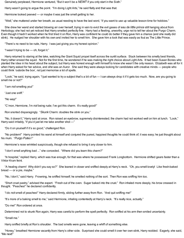Genuinely perplexed, Hermione ventured, "But it won't be a *NEWT* if you only start in the Sixth."

Harry wasn't going to argue the point. "I'm doing Light Arts," he said flatly and that was that.

Hermione looked peeved — or maybe it was just the smell getting to her.

"Well," she muttered under her breath, as usual needing to have the last word, "if you want to use up valuable lesson time for hobbies."

She drew her wand and started blowing air over herself, trying in vain to evict the evil gases of *eau de little prince* still hanging about from Herbology; she had not yet noticed that Harry smelled perfectly fine. Harry had a fleeting, unworthy, urge not to tell her about the Purgo Charm. Even though it hadn't worked when he first tried it on Ron, Harry was confident he could do better if they gave him a chance (and she really did stink). He nudged her shoulder with his own and invited her to smell him. She gave him a look that was easily as foul as The Little Prince.

"There's no need to be rude, Harry. Iwas just giving you my honest opinion."

"Iwasn't trying to be — oh, forget it."

Harry returned to staring at the lake, watching the Giant Squid propel itself across the sunlit surface. Stuck between his smelly best friends, Harry rather envied the squid. Not for the first time, he wondered if he was making the right choice about Light Arts. It had been Susan Bones who planted the idea in his head about the subject, but Harry was honest enough with himself to know she wasn't the only reason. Elizabeth was all for it when Harry asked for her advice, and *she* was an Auror. She said they were always looking for candidates with creative minds — people who could think 'outside the box', not just memorise a lot of spells.

"Look," he said, trying again, "I just wanted to try a subject that's a bit of fun — Ican always drop it if it gets too much. Now, are you going to smell me or not?"

"I am *not* smelling you!"

"Just one sniff."

"No way!"

"C'mon, Hermione, I'm *not* being rude; I've got this charm. It's really good!"

Ron snorted disparagingly. "*Skunk* Charm: doubles the stink on you."

"No, it doesn't," Harry said at once. Ron raised an eyebrow, supremely disinterested; the charm had not worked well on him at lunch. "Look," Harry said irritably, "if you'd just let me take another shot —"

"Do it on yourself if it's so good," challenged Ron.

"No problem!" Harry pointed his wand at himself and conjured the purest, happiest thoughts he could think of; it was easy; he just thought about his mum. "*Purgo Puteo* !"

Hermione's nose wrinkled suspiciously, though she refused to bring it any closer to him.

"I don't smell anything bad ..." she conceded. "Where did you learn this charm?"

"In hospital," replied Harry, which was true enough, for that was where he possessed Frank Longbottom. Hermione shifted gears faster than a Viktor Krum feint.

"A healing charm! Why didn't you say so?" She leaned in closer and sniffed deeply at Harry's neck. "Oh, you smell lovely! Like fresh-baked bread — or a pie, maybe."

"No, I don't," said Harry. Frowning, he sniffed himself; he smelled nothing of the sort. Then Ron was sniffing him too.

"Short crust pastry," advised the expert. "Fresh out of the oven. Sugar baked into the crust." Ron inhaled more deeply, his brow creased in thought. "Peaches!" he declared confidently.

"I do *not* smell of peaches!" Harry declared firmly, sliding further away from Ron. "And quit sniffing me!"

"It's more of a baking smell to me," said Hermione, inhaling contentedly at Harry's neck. "It's really nice, actually."

"Do me!" Ron ordered at once.

Determined not to skunk Ron again, Harry was careful to perform the spell perfectly. Ron sniffed at his arm then smiled uncertainly.

"Smell me."

Harry sniffed briefly at Ron's shoulder. The bad smells were gone, leaving a whiff of something else.

"Honey," breathed Hermione vacantly from Harry's other side. Surprised she could smell it over her own stink, Harry nodded. Eagerly, she said, "Me next!"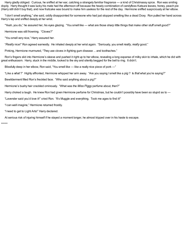Harry gladly obliged. Curious, he sniffed at her ear, catching a strangely familiar fragrance — a kind of Christmassy spice. Ron was smiling dopily. Harry thought it was lucky his mate had the afternoon off because the heady combination of candyfloss Katsura leaves, honey, peach pie (Harry still didn't buy that), and now fruitcake was bound to make him useless for the rest of the day. Hermione sniffed suspiciously at her elbow.

"I don't smell anything," she said, oddly disappointed for someone who had just stopped smelling like a dead Doxy. Ron pulled her hand across Harry's lap and sniffed deeply at her wrist.

"Yeah, you do," he assured her, his eyes glazing. "You smell like — what are those sharp little things that make other stuff smell good?"

Hermione was still frowning. "Cloves?"

"You smell very nice," Harry assured her.

"*Really* nice!" Ron agreed earnestly. He inhaled deeply at her wrist again. "Seriously, you smell *really, really* good."

Pinking, Hermione murmured, "They use cloves in fighting gum disease ... and toothaches."

Ron's fingers slid into Hermione's sleeve and pushed it right up to her elbow, revealing a long expanse of milky skin to inhale, which he did with great enthusiasm. Harry, stuck in the middle, looked to the sky and silently begged for the bell to ring. It didn't.

Blissfully deep in her elbow, Ron said, "You smell like — like a really nice piece of pork —"

"Like a *what* ?" Highly affronted, Hermione whipped her arm away. "Are you saying I smell like a *pig* ? Is *that* what you're saying?"

Bewilderment filled Ron's freckled face. "Who said anything about a pig?"

Hermione's bushy hair crackled ominously. "What was the *Miss Piggy* perfume about, then?"

Harry choked a laugh. He knew Ron had given Hermione perfume for Christmas, but he couldn't possibly have been so stupid as to —

"Lavender said you'd love it!" cried Ron. "It's Muggle and everything. Took me ages to find it!"

"I can well imagine," Hermione returned frostily.

"I need to get to Light Arts!" Harry declared.

At serious risk of injuring himself if he stayed a moment longer, he almost tripped over in his haste to escape.

\*\*\*\*\*\*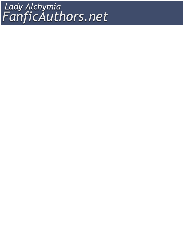# Lady Alchymia<br>FanficAuthors.net

- 
- 
- 
- 
- 
- -
	-
- - - -
			-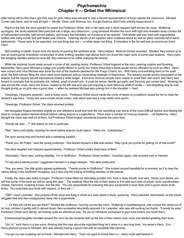## **Psychomachia Chapter 4 — Oribel the Whimsical**

After being told by Ron that Light Arts was for girls, Harry was relieved to see a decent representation of boys outside the classroom. Michael Corner was there, and he was all right — Neville, Dean, and Seamus, too, though Seamus didn't look entirely happy about it.

Right on the bell, the door opened to reveal tiny Professor Oribel, fear in her eyes and a hand clapped tight across her nose. Muttering apologies, the stinky students filed past and into a large, airy classroom. Long windows flooded the room with light and revealed dusty corners full of half-painted portraits, half-carved statues, and boxes that trembled, as if anxious to be opened. One whole wall was lined with pigeonholes stuffed with dusty scrolls tied with faded pink ribbons. Tottering stacks of art supplies were scattered about as well as glass cabinets full of weird instruments. These were to be expected, but one thing was not — a rather large one thing. Embedded in the far wall was an enormous Giant Clam.

Still smelling of death, Susan took the liberty of opening the windows wide. Harry helped. Musical chimes sounded. Startled, they looked up to see an avant-garde chandelier constructed of silver knitting needles high above them (no doubt the major work of some past student). Harry eyed the dangling needles warily but none fell; they seemed to be rather enjoying the breeze.

While her students found seats around a circle of tall, slanting desks, Professor Oribel lingered at the door, peering outside and frowning. Meanwhile, Harry gave Michael a nudge and quietly offered to purify him (Harry knew that a bloke would not be offended by such an offer). Harry was correct and once Michael was done the rest of the students pleaded for the Purgo Charm, too. With Harry concentrating hard on his spell work, the fetid odours filling the room were soon replaced with an intoxicating melange of fragrances. The dreamy scents quickly dissipated on the breeze, but the happily vacant expressions lasted a while longer. It became obvious people were unable to smell their own scent, and Harry was forced to conclude that he probably did, indeed, smell of peach pie. It could be worse; Neville got garlic and Seamus got corned beef. Working his way around the circle, Harry did Susan, seated to his left, last and was just enjoying a most delicious whiff of vanilla — and forgetting why he ever thought giving up on girls was a good idea — when he realised Michael was poking him in the shoulder — hard.

"Greetings, Hogwarts students," said a husky voice. Professor Oribel stood inside the circle of desks on a platform raised for her to meet her student's eye-lines. Today she wore simple brown robes, over which was tied a crisp white work-apron.

"Greetings, Professor Oribel," the class returned politely.

Her elongated fingers trembled slightly as she unfurled a scroll and took the roll, stumbling over some of the more difficult names (and feeling the need to consult prefect Hannah Abbott before calling anyone a Longbottom). There were a number of missing students — all Slytherins. Harry thought the class was well rid of them, but Professor Oribel looked uncertainly towards the open door.

"Should we wait …?" she asked no one in particular.

"Nah," Harry said lightly, drawing his wand before anyone could object. "Allow me. *Colloportus* !"

The door swung shut and locked with a satisfying squelch.

"Thank you, Mr Potter," said the young professor. She leaned forward a little and added, "May I give you points for getting rid of that smell?"

The class laughed and clapped appreciatively. Professor Oribel smiled shyly back at them.

"Absolutely," Harry said, adding helpfully, "I'm inGryffindor." Professor Oribel nodded. Uncertain again, she scurried over to Hannah.

"I'd say about twenty points," suggested Hannah in a stage whisper. "We *were* pretty rank."

"Yes, you were," the little goblin agreed guilelessly. "Twenty points to Gryffindor!" She looked around hopefully for a moment, as if to hear the rubies falling in the Gryffindor hourglass, but it was only the tinkling of knitting needles on the breeze.

Finally, the class was ready to begin. Professor Oribel lifted her delicately pointed chin, took a deep breath, and said, "Inside your desks, you will find some of the tools we will be using this year." The students lifted the lids of their desks to find well-worn sets of artists' tools: paintbrushes, chisels, hammers, sculpting knives, and the like. "You are responsible for ensuring that your equipment is kept clean and in good repair at all times. You must treat your tools with respect, or they will -"

"*OW* !" cried Lavender. She jumped off her stool and flung a chisel at a wall, where it stuck, quivering. Harry watched, astonished, as the chisel wriggled free and then disappeared deep into a pigeonhole.

"... Or they will *not* let you use them!" finished the professor, hurrying across the room. Muttering in Gobbledegook, she coaxed the chisel out of its hole, stroked it gently until it calmed down, then somewhat reluctantly returned it to Lavender, who was still sucking her thumb. "It would be wise," Professor Oribel said sternly, not looking quite so whimsical now, "for you to *introduce* yourselves to your tools before you touch them."

Embarrassed laughter travelled around the room as the students held up the lids of their desks once more and started greeting their tools.

"Um, hi," said Harry in a low voice, thinking that this was about the stupidest thing he'd done in a very long time, "my name's Harry. Erm ..." Harry glanced across to Michael, who was already having a good chat with an excitable little hammer.

"I've got my own sculpting set at home," Michael told Harry. "Took me ages to break them in." Harry could well believe it.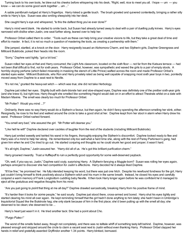Turning back to his own tools, he blew out his cheeks before whispering into his desk, "Right, well, nice to meet you all. I hope — um — you know — we can do some good work together ... um ..."

A sable paintbrush nudged at Harry's fingertips. Harry risked a gentle touch. The brush growled and quivered contentedly, bringing a rather silly smile to Harry's lips. Susan was also smiling sheepishly into her desk.

She caught Harry's eye and whispered, "Is this the daftest thing you've ever done?"

Harry's mind went blank. He started to smile back, but Susan had already turned away to deal with a pair of duelling putty knives. Harry's eyes narrowed with dislike when Justin, one seat further along, leaned over to help her.

Professor Oribel called them to order. "Tools such as these can help bring your creative visions to life, but they take a great deal of time and effort to master. In fact, it is not so much a question of mastering the tools, as creating a partnership with them."

She jumped, startled, at a knock on the door. Harry resignedly issued an Alohomora Charm, and two Slytherin girls, Daphne Greengrass and Millicent Bulstrode, poked their heads into the room.

"Sorry," Daphne said lightly, "got a bit lost."

Susan rolled her eyes at that and Harry concurred; the Light Arts classroom, located on the sixth floor — not far from the Katsura terrace — had not been *that* difficult to find, not for sixth years. Professor Oribel, however, was sympathetic and waved the girls to a pair of empty stools. A horribly cloying perfume (which failed miserably in masking the stench of Little Prince) wafted across the room and made Professor Oribel's slanted eyes water. Millicent Bulstrode, who Ron and Harry privately rated as being well capable of snapping most sixth year boys in two, pointedly moved away from Daphne to a seat next to Neville.

"It's not me," grunted the heavy-set witch — which was true; she did not take Herbology.

Daphne just rolled her eyes. Slightly built with dark-blonde hair and sloe-shaped eyes, Daphne was definitely one of the prettier sixth-year girls (and she knew it), but right now, Harry thought she smelled like something Hagrid would dab on in an effort to attract Thestrals whilst on a date with Madam Maxine. The smell was clearly too much for Professor Oribel.

"Mr Potter? Would you mind ...?"

Ordinarily, there was no way Harry would do a Slytherin a favour, but then again, he didn't fancy spending the afternoon smelling her stink, either. Resignedly, he rose to his feet and walked around the circle to take a good shot at her. Daphne leapt from her stool in alarm when Harry drew his wand. Professor Oribel rushed forward.

"You smell very bad," she assured the girl. "Mr Potter will cleanse you."

"Like hell he will!" Daphne declared over cackles of laughter from the rest of the students (including Millicent Bulstrode).

Harry just smiled sweetly and twirled his wand in his fingers, thoroughly enjoying the Slytherin's discomfort. Daphne looked ready to flee and Harry was of a mind to help her along. He remembered only too well what a hard time she, along with the rest of Pansy Parkinson's gang, had given him when he and Cho tried to go out. He started conjuring evil thoughts so he could skunk her good and proper; it wasn't hard.

"It's all right, Daphne," Justin assured her. "Harry did all of us. He's got this brilliant purification charm."

Harry groaned inwardly. Trust a Hufflepuff to ruin a perfectly good opportunity for some well-deserved payback.

"Oh, well, if *you* say so, Justin," Daphne said coyly, surprising Harry. A Slytherin fancying a Muggle-born? Susan was rolling her eyes again, perhaps annoyed to discover she had competition for Justin's affections. Harry decided he'd always liked Daphne.

"It'll be fine," he promised her. He fully intended keeping his word, but there was just one hitch. Despite his newfound fondness for the girl, Harry just couldn't bring himself to think positively about a Slytherin witch and his mum in the same breath. Instead, he closed his eyes and carefully conjured a warm memory of Frank Longbottom cuddling baby Neville. It then took Harry longer again before he was confident he'd managed to eject all the gratuitous and negative thoughts from his mind.

"Are you just going to *point* that thing at me all day?" Daphne drawled sarcastically, breaking Harry from his positive frame of mind.

"It's harder than it looks for *some* people," he said sourly. Daphne just stood there, cross-armed and bored. Harry shut his eyes tightly and started clearing his mind all over again. He kept reminding himself that the girl hadn't done anything to him lately; she hadn't been in Umbridge's Inquisitorial Squad like the Bulstrode hag; she only stank because of him in the first place; she'd been putting up with the smell all day; she deserved to be clean; she deserved to be ...

Harry's heart just wasn't in it. He tried another tack: She had a point about Cho.

"*Purgo Puteo* !"

The worst of the smells faded away, though not completely, and there was no telltale whiff of something tasty left behind. Daphne, however, was pleased enough and skipped around the circle to claim a vacant seat next to Justin without even thanking Harry. Professor Oribel clapped her hands in relief and gratefully awarded Gryffindor another 1.34 points. Harry blinked, bemused.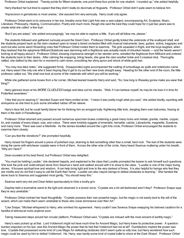Professor Oribel explained. "Twenty points for fifteen students; one point three-four points for one student. Irounded up," she added helpfully.

Harry thanked her but tried to explain that they didn't really do decimals at Hogwarts. Professor Oribel didn't quite seem to believe him.

"Imprecision in gemstones is most unwise," she assured him very seriously. Harry could only agree.

Professor Oribel went on to announce in her low, breathy voice that Light Arts was a vast subject, encompassing Art, Sculpture, Music, Literature, Philosophy, Healing, Communication, Poetry and much more, though she said the best they could hope for in just two years was to create what she called 'a few toys'.

"But if you are adept," she added encouragingly, "we may be able to explore a little. If you will all follow me, please."

The students followed and gathered curiously around the Giant Clam. Professor Oribel gently tickled the underside of the scalloped shell, and the students jumped back as the clam creaked open to reveal a tiered orchestra filled with musical instruments: lyres, guitars, violins, bagpipes and such but also some weird Wizarding ones that Professor Oribel invited them to examine. The girls squealed in fright, and the boys laughed, when they realised that the xylophone Millicent Bulstrode was slamming with a thighbone was actually made of shrunken heads — and the heads weren't looking at all happy about it. Professor Oribel, showing impressive strength in her slender arms, wrestled the thighbone from Millicent and ordered the students back to their desks. After calming the snapping, biting heads, she gave the clam another tickle and it creaked shut. Thoroughly rattled, she dallied by the clam for a moment to calm down, smoothing her shiny apron and shock of white-gold hair.

"You may now take notes," she suggested firmly. Disappointed sighs accompanied the rustling of schoolbags as quills and notebooks came out; Harry wasn't the only one who'd been hoping they'd get to try out their new tools straight away. Heading for the other end of the room, the little professor called out, "We shall now look at some of the materials with which you will be working."

While she gathered some boxes from a far corner, Michael leaned towards Harry and said, "So, how long is Weasley gonna make you wear that thing?"

Harry glanced down at his *MORE CLUELESS* badge and blew out his cheeks. "Well, if I can behave myself, he may let me lose it in time for Potterfest seventeen."

"I like that you're wearing it," decided Susan and Harry smiled at her. "Imean it was pretty rough what you said," she added bluntly, squinting with annoyance as she tried to pick some shrivelled rubber off her sleeve.

Harry's face fell, but he could hardly blame her for thinking him an arrogant bully: frightening little kids, dangling them over balconies, hissing at them in the dark in Parseltongue.

Professor Oribel returned and passed around numerous specimen boxes containing a great many rocks and metals: granite, marble, copper, tin, and crystals of every shape, size, and colour. There were knobbly nuggets of emeralds, hematite, calcite, Labradorite, magnetite, Sunstone, and many more. There was even a Merlinite. As the stones travelled around the Light Arts circle, Professor Oribel encouraged the students to examine them closely.

"Can you feel the vibrations?" she prompted hopefully.

Harry closed his fingers around a piece of polished onyx, straining to feel something other than a small, hard rock. The rest of the students were doing the same with whichever crystals were in front of them. Across the other side of the circle, Harry heard Seamus muttering under his breath, "Why am I here?"

Dean scowled at his best friend, but Professor Oribel was delighted.

"You must be holding Luvulite," she declared happily, and explained to the class that Luvulite prompted the bearer to ask himself such questions. She took the pink and violet-striped stone from Seamus's hand and walked around with it to show to the class. "Luvulite is one of the major loving stones. It focuses spiritual love and wisdom. It can help bring light and love to the very darkest of times. It is also helpful for beings who feel they are misfits and do not find it easy to call the Earth their home. Luvulite can also inspire beings to defeat obstacles to learning." She handed the stone back to Seamus and suggested most gently, "You should keep this."

Seamus went very red and Dean failed spectacularly to hide a toothy grin.

Daphne held a tourmaline wand to the light and observed in a bored voice, "Crystals are a bit old-fashioned aren't they? Professor Snape says they're very unreliable."

Professor Oribel inclined her head thoughtfully. "Crystals possess their own powerful magic, but the magic is not easily bent to the will of the wizard, which can make them seem unreliable to those who crave dominance over their Art."

"Like Snape," Michael whispered to Harry, who smirked his agreement. Harry couldn't see Severus Snape swapping his beloved cauldron for a handful of whimsical rocks anytime soon.

Taking measured steps around her circular platform, Professor Oribel said, "Crystals are imbued with the most ancient of earthly magic."

Harry's ears picked up at that. Lord Voldemort might not have much time for Ancient Magic, but Harry knew its protective power. A question burned unspoken on his lips: was this Ancient Magic the power that he had that Voldemort had not at all? Dumbledore implied the power was love. Crystals that possessed some kind of Love Magic for defeating obstacles didn't seem quite so silly now, but Harry wondered how such magic could be used by him to defeat Voldemort. He, Harry, was hardly some kind of crystal bullet to shoot at the Dark Wizard. Professor Oribel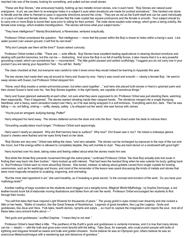reached into one of the boxes, looking for something, and pulled out two small stones.

"These are Boji Stones," she announced huskily, holding up two metallic-brown stones, one in each hand. "Boji Stones are natural aural energisers. In art, we use them to re-energise holes in a subject's aura when donations are made for portrait animations." She handed one stone to Neville and the other to Hannah to pass in opposite directions around the circle. "They are as old as the Earth itself and can be used individually or in pairs of male and female stones. You will see that the male crystal has square protrusions and the female is smooth. Your subject should try to carry one or more Bojis to boost their aura prior to sitting for their portrait. The male stone exudes solar energy, which gives a being solidity, the female lunar energy, which enables transfiguration. The stones will know what your subject lacks."

"They have intelligence?" Mandy Brocklehurst, a Ravenclaw, ventured sceptically.

Professor Oribel considered the question. "Not intelligence — more that the power within the Boji is drawn to holes within a being's aura. Like water poured over uneven ground, it will find its own level."

"Why don't people use them all the time?" Susan asked curiously.

Professor Oribel smiled a little. "There are — side effects. Boji Stones have excellent healing applications in clearing blocked emotions and dealing with painful memories, but this can be — distracting. And since the Boji is so full of earthly forces, it also means that it is a very powerful grounding crystal, which can sometimes be — inconvenient." The little goblin paused and added confidingly, "I suggest you do not carry one in your pocket if you are taking your Apparition Test. You will fail. Badly."

The class chuckled at that, but everyone was careful to note it down since they would indeed be learning to Apparate this year.

The two stones had made their way all around to Harry and Susan by now. Harry's was round and smooth — clearly a female Boji. He went to swap stones with Susan, but Professor Oribel stopped him.

"Alone, each Boji exudes a certain primordial power, but when used together ..." and here she placed both stones in Harry's upturned palm and then closed Susan's hand over his, "two Boji Stones together, in the right hands, are capable of wondrous things."

Harry and Susan glanced awkwardly at each other, not sure what they were supposed to do; Professor Oribel was just standing there, watching them expectantly. Then it happened. The stones started vibrating inside their clasped hands. The vibrations merged into a single thumping heartbeat, and a heavy, warm sensation swept over Harry, as if he was being wrapped in a soft embrace. Everything went dim, dark. Then he was falling — no, not falling, sinking — softly, deeply, safely. Lily whipped out her wand; she was furious with James.

"*You're just an arrogant, bullying toerag, Potter!"*

Harry whipped his hand away. The stones clattered across the desk and onto the floor. Harry dived under the desk to retrieve them.

"Grounding usually takes much longer," Professor Oribel said approvingly.

Harry wasn't nearly so pleased. Why did *that* memory have to surface? Why now? Did Susan see it, too? He risked a sideways glance. Susan's cheeks were flushed and her eyes firmly fixed on her desk.

"Boji Stones are very rare," Oribel was telling the class, "and very valuable. The stones can be recharged by exposure to the rays of the sun and the moon, but if the energy within is allowed to completely deplete, they will crumble to dust. They are best stored on a windowsill with good light."

Harry hunched over his desk, taking notes and feeling rattled about what the stones made him see.

"But whilst the *brown* Boji prevents movement through the astral plane," continued Professor Oribel, "the *blue* Boji actually aids lost souls in finding their way back into their bodies." Harry looked up with interest. That had been the hardest thing when he was outside his body: getting back in. But Professor Oribel said no more about Boji Stones. She turned, instead, to talking about goblets carved from single crystals for binding ceremonies, such as for weddings and truces, and most of the remainder of the lesson was spent discussing the kinds of metals and stones that were most magically receptive to sculpting, engraving, and animating.

"But the most vital ingredient in art," she said breathily, as if revealing a great secret, "is the concept and emotion of the work. Do you have your mythology texts?"

Another rustling of bags sounded as the students each dragged out a weighty tome, *Magical World Mythology* , by Sophia Demiurge, a red leather-bound book full of elaborate moving illustrations and fables from all over the world. Professor Oribel encouraged her students to flick through their books.

"You will find tales that have inspired Light Wizards for thousands of years." The young goblin's eyes misted over dreamily and she rocked a little on her heels. "Myths of creation, like the Great Sneeze of Nostrilamus. Legends of great travellers, like Lug the Legless. Gods and goddesses, like Zeus and Hera. Folk tales, hearth stories, nymphs and satyrs ... so much to capture the imagination and inspire the soul. And all of these tales carry ancient truths about —"

"Not gods and goddesses," scoffed Daphne. "Imean they're not *real* ."

Professor Oribel's head tilted a little. "The pantheon of the Earth's gods and goddesses is certainly immense, and it is true that many stories can be — elastic — with the truth and grow even more fanciful with the telling. Take Zeus, for example, who could punish people with bolts of lightning and disguise himself as swans and bulls and golden showers. Some believe he was an Olympian god, others believe he was an avaricious Metamorphmagus with a wandering eye and delusions of grandeur."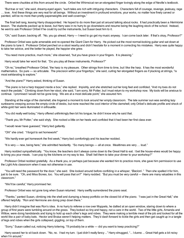There were chuckles at this from around the circle. Oribel the Whimsical ran an elongated finger lovingly along the edge of Neville's textbook.

"But true or not," she said, dreamy-eyed again, "such tales are rich with intriguing characters. Characters full of courage, revenge, jealousy, rage … love. And these things are very real for all beings. Without an investment in profound emotions, your works, no matter how finely carved or painted, will be no more than pretty paperweights and wall coverings."

The final bell rang, leaving Harry disappointed. He hoped to do more than just sit around talking about rocks. It had practically been a *Hermione* lesson. The students packed up to leave, but Harry was in no hurry to go downstairs and resume being the laughing stock of the school. Instead, he went to ask Professor Oribel if he could try out the instruments, but Susan beat him to it.

"Oh," said Susan, backing off. "No, you go ahead, Harry — I need to go get my music anyway. I can come back later. If that's okay, Professor?"

Professor Oribel was quite amenable and re-opened the Giant Clam for Harry. He picked out the most normal-looking guitar and sat down at the piano to tune it. Professor Oribel perched on a stool nearby and didn't hesitate for a moment in correcting his mistakes. Harry was quite happy to take her advice, and the better he played, the happier she grew.

"You need more practice, much more," she observed, "but you have grace in your fingers. It is pleasing."

Harry would take her word for that. "Do you play all these instruments, Professor?"

"Oh no," breathed Professor Oribel, "the harp is my pleasure. Other strings from time to time, but I like the harp. It has the most wonderful mathematics. So pure — so articulate. The precision within your fingertips," she said, curling her elongated fingers as if plucking at strings, "is most exhilarating to explore."

"And the piano?" Harry asked, thinking of Susan.

"The piano is but a harp trapped inside a box," she replied. Impishly, and she stretched out her long feet and confided, "And my toes do not reach the pedals." Climbing down from her stool, she said, "I am sorry, Mr Potter, but Imust return to my workshop now. My tools will be anxious to continue. I promised Iwould not be gone long. We are at a most delicate point," she assured him.

Standing at the edge of the clamshell, she lingered a moment to look around her empty classroom. The late summer sun was sending lazy sunbeams creeping across the empty circle of desks, but none reached the cool interior of the clamshell; only Oribel's delicate profile and shock of white-gold hair were illuminated in silhouette.

"You did really well today," Harry offered unthinkingly then bit his tongue; he didn't know why he said that.

"Thank you, Mr Potter," she said shyly. She rocked a little on her heels and confided that it had been her first class ever.

"Iwould never have guessed," Harry lied gallantly.

"Oh!" she cried. "I forgot to set homework!"

"We hardly ever get homework the first week," Harry lied comfortingly and his teacher nodded.

"It is very — new, being here," she admitted hesitantly. "So many beings — all at once. Mealtimes are very … loud."

Harry nodded sympathetically. "You know, the teachers don't always come down to the Great Hall to eat. I bet the house-elves would be happy to bring you your meals. I can pop by the kitchens on my way to tea. Shall I tell them to take your dinner to your workshop?"

Professor Oribel nodded gratefully. As a thank you, or perhaps just because she wanted him to practice more, she gave him permission to use the Light Arts classroom when it was not otherwise in use.

"You will need the password for the door," she said. She looked around before confiding in a whisper, "*Bacioni* ." Then she spelled it for him, just to be sure. "Oh, and Miss Bones, too. You will pass that on?" Harry nodded. "But you must be very careful — there are many valuables in this classroom."

"We'll be careful," Harry promised her.

Professor Oribel was not gone long when Susan returned. Harry swiftly surrendered the piano seat.

"Thanks," panted Susan, climbing into the shell and dumping a heavy portfolio on the closed lid of the piano. "Iwas just in the Great Hall," she offered helpfully. "Ron and Hermione are doing prep down there."

Harry didn't imagine that was Ron's idea. In no hurry to referee a row over Muppets, he dallied at an open window, staring down to where a group of first years were tumbling around on the grass. They looked so tiny and happy, not a care in the world. Two of the little girls, Amanda and Willow, were doing handstands and trying to hold up each other's legs and robes. They were making a terrible meal of the job and looked for all the world like a pair of baby bats. Hector and Brutus weren't helping matters. They'd dash forward to tickle the girls and then get caught up in a tangle of legs and robes when the girls collapsed, giggling, on top of them.

"Sorry," Susan called out, noticing Harry loitering, "I'll probably be a while — did you want to keep practicing?"

Harry waved her to sit back down. "No, no. I had my turn. I just didn't really fancy ..." Harry shrugged, "... I dunno ... Great Hall gets a bit noisy when I'm around."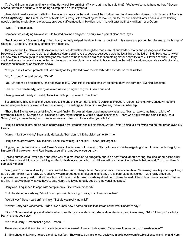"Ah," said Susan understandingly, making Harry feel like an idiot. Why on earth had he said that? "You're welcome to hang up here," Susan offered, "if you can put up with me being all stop-start on the keyboard."

Harry didn't need a second invitation. He found a sunny spot beneath one of the windows and lay down on his stomach with his copy of *Magical World Mythology* . The Great Sneeze of Nostrilamus was just too tempting not to look up, but the hot sun across Harry's back, and the knitting needles tinkling musically on the breeze, provided stiff competition. He didn't even make it past the first Handkerchief of Doom.

"Wha —" he mumbled.

Someone was nudging him awake. He twisted around and gazed blearily into a pair of clear hazel eyes.

"Teatime, sleepy," Susan said, grinning. Harry hurriedly swiped the drool from his mouth with his sleeve and pushed his glasses up the bridge of his nose. "Come on," she said, offering him a hand up.

They closed up the clam and classroom and headed downstairs through the mad maze of hundreds of stairs and passageways that was Hogwarts Castle. There were plenty of shortcuts Harry could have suggested, but speed was the last thing on the lad's mind. He knew very well just how rare it was to get girls completely on their own and he racked his brains for something clever and witty to say. Clever and witty? Harry would settle for simple and sane but his mind was a complete blank. In an effort to buy more time, he led Susan down several sets of trick stairs that landed them back on the floors above.

"Are you okay, Harry?" prompted Susan quietly as they strolled down the old forbidden corridor on the third floor.

"No, I'm good," he said quickly. "Why?"

"You just seem a bit distracted," she observed mildly. "And this is the third time we've come down this corridor. Evening, Ethelred."

Ethelred the Ever-Ready, looking as vexed as ever, deigned to give Susan a curt nod.

Harry grimaced ruefully and said, "Iwas kind of hoping you wouldn't notice."

Susan said nothing to that; she just strolled to the end of the corridor and sat down on a short set of steps. Sprung, Harry sat down too and waited resignedly for whatever lecture was coming. Susan fidgeted for a bit, straightening the music in her lap.

"Those Boji Stones were something," she said finally. Thrown, all Harry could manage was a nod. "Harry, I saw something ... a kind of daydream, I guess." Slumped over his knees, Harry toyed unhappily with his frayed shoelaces. "There was a girl with red hair, like me," said Susan, "and you were there, but our features were all mixed up. Iwas calling you a bully."

Harry's flinched at that, but he could hardly explain that it wasn't him but his father, *James* Potter, being told off by the red-haired, green-eyed Lily Evans.

"Harry, Imight be wrong," Susan said delicately, "but I don't think the vision came from me."

Harry's face grew warm. "No, it didn't. Look, it's nothing. It's stupid. Please, just forget it."

Hugging her portfolio to her chest, Susan's eyes clouded over with concern. "Harry, I know you've been getting a hard time about last night, but I'm sure it'll all blow over. And Ron'll come around," she added encouragingly.

Feeling humiliated all over again about the way he'd mouthed off so arrogantly about his best friend, about scaring little kids, about all the other stupid things he said, Harry had nothing to offer in his defence, not a thing, and it was with a strained kind of laugh that he said, "You must think I'm completely mental."

"Well, yeah," Susan said frankly. She smiled at the look on Harry's face. "In a *good* way," she assured him. "Too many people just accept things as they are. I think it was really wonderful how you stepped up and refused to take any of that pure-blood nonsense. Iwas really proud and impressed with what you did. *More* people should be so mental. And it certainly didn't hurt to have the rest of the school listen in as well. People are finally ready to hear what you have to say, Harry, and it was a really good and powerful message."

Harry was ill-equipped to cope with compliments. She was impressed?

"But," he started uncertainly, "about Ron ... you said how rough it was, what I said about him."

"Well, it was," Susan said unflinchingly. "But did you really mean it?"

"Never!" Harry said vehemently. "I don't even know how it came out like that; it was never what Imeant to say."

"Good," Susan said simply, and relief washed over Harry; she understood, she really understood, and it was okay. "I don't think you're a bully, Harry," she added softly.

"No," said Harry. "Imean that's good. Imean ..."

There was an odd little smile on Susan's face as she leaned closer and whispered, "Do you reckon we can go downstairs now?"

Smiling sheepishly, Harry helped the girl to her feet. They walked on in silence, but it was a deliciously comfortable silence this time, and Harry